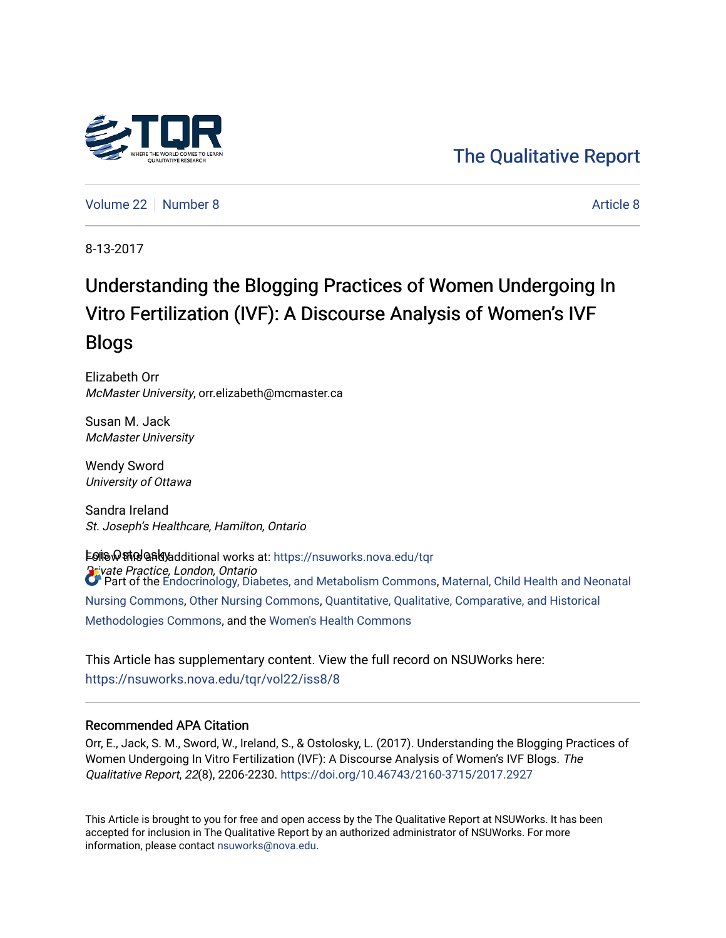

[Volume 22](https://nsuworks.nova.edu/tqr/vol22) [Number 8](https://nsuworks.nova.edu/tqr/vol22/iss8) [Article 8](https://nsuworks.nova.edu/tqr/vol22/iss8/8) Article 8 Article 8 Article 8 Article 8 Article 8 Article 8 Article 8 Article 8 A

8-13-2017

# Understanding the Blogging Practices of Women Undergoing In Vitro Fertilization (IVF): A Discourse Analysis of Women's IVF Blogs

Elizabeth Orr McMaster University, orr.elizabeth@mcmaster.ca

Susan M. Jack McMaster University

Wendy Sword University of Ottawa

Sandra Ireland St. Joseph's Healthcare, Hamilton, Ontario

**⊧ତାାତ ଢ଼ାଖୀତ ଜ୍ୟାତି କାର୍ଯ୍ୟ ପ୍ରତିକ ଯା**ଇଥା works at: https://nsuworks.nova.edu/tqr Private Practice, London, Ontario Part of the [Endocrinology, Diabetes, and Metabolism Commons](http://network.bepress.com/hgg/discipline/686?utm_source=nsuworks.nova.edu%2Ftqr%2Fvol22%2Fiss8%2F8&utm_medium=PDF&utm_campaign=PDFCoverPages), [Maternal, Child Health and Neonatal](http://network.bepress.com/hgg/discipline/721?utm_source=nsuworks.nova.edu%2Ftqr%2Fvol22%2Fiss8%2F8&utm_medium=PDF&utm_campaign=PDFCoverPages)  [Nursing Commons](http://network.bepress.com/hgg/discipline/721?utm_source=nsuworks.nova.edu%2Ftqr%2Fvol22%2Fiss8%2F8&utm_medium=PDF&utm_campaign=PDFCoverPages), [Other Nursing Commons,](http://network.bepress.com/hgg/discipline/729?utm_source=nsuworks.nova.edu%2Ftqr%2Fvol22%2Fiss8%2F8&utm_medium=PDF&utm_campaign=PDFCoverPages) [Quantitative, Qualitative, Comparative, and Historical](http://network.bepress.com/hgg/discipline/423?utm_source=nsuworks.nova.edu%2Ftqr%2Fvol22%2Fiss8%2F8&utm_medium=PDF&utm_campaign=PDFCoverPages) [Methodologies Commons](http://network.bepress.com/hgg/discipline/423?utm_source=nsuworks.nova.edu%2Ftqr%2Fvol22%2Fiss8%2F8&utm_medium=PDF&utm_campaign=PDFCoverPages), and the [Women's Health Commons](http://network.bepress.com/hgg/discipline/1241?utm_source=nsuworks.nova.edu%2Ftqr%2Fvol22%2Fiss8%2F8&utm_medium=PDF&utm_campaign=PDFCoverPages)

This Article has supplementary content. View the full record on NSUWorks here: <https://nsuworks.nova.edu/tqr/vol22/iss8/8>

#### Recommended APA Citation

Orr, E., Jack, S. M., Sword, W., Ireland, S., & Ostolosky, L. (2017). Understanding the Blogging Practices of Women Undergoing In Vitro Fertilization (IVF): A Discourse Analysis of Women's IVF Blogs. The Qualitative Report, 22(8), 2206-2230. <https://doi.org/10.46743/2160-3715/2017.2927>

This Article is brought to you for free and open access by the The Qualitative Report at NSUWorks. It has been accepted for inclusion in The Qualitative Report by an authorized administrator of NSUWorks. For more information, please contact [nsuworks@nova.edu.](mailto:nsuworks@nova.edu)

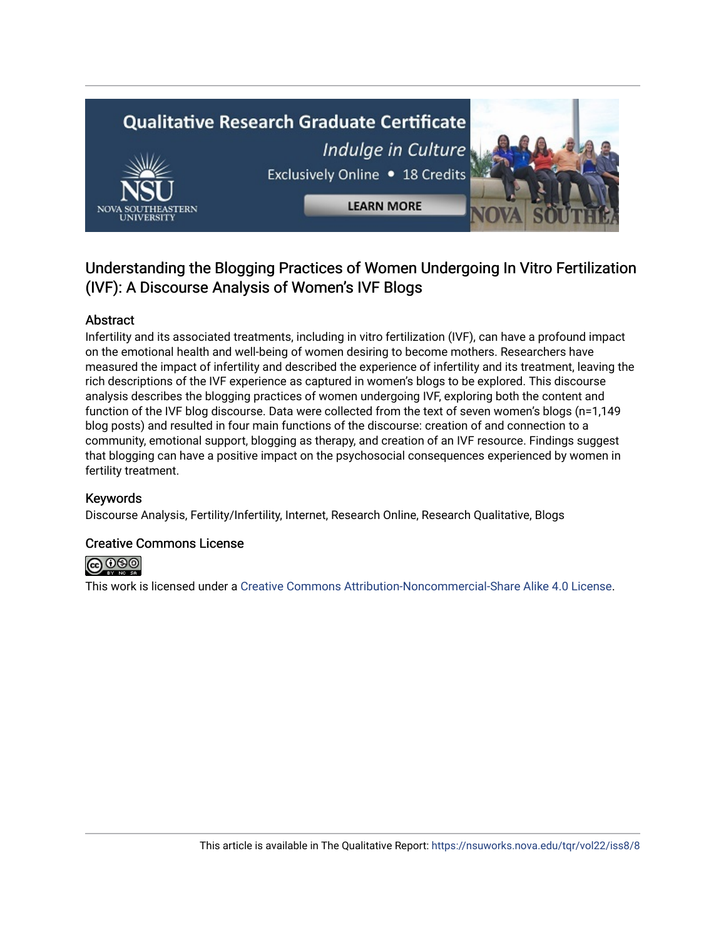# **Qualitative Research Graduate Certificate** Indulge in Culture Exclusively Online . 18 Credits

**LEARN MORE** 

# Understanding the Blogging Practices of Women Undergoing In Vitro Fertilization (IVF): A Discourse Analysis of Women's IVF Blogs

# Abstract

Infertility and its associated treatments, including in vitro fertilization (IVF), can have a profound impact on the emotional health and well-being of women desiring to become mothers. Researchers have measured the impact of infertility and described the experience of infertility and its treatment, leaving the rich descriptions of the IVF experience as captured in women's blogs to be explored. This discourse analysis describes the blogging practices of women undergoing IVF, exploring both the content and function of the IVF blog discourse. Data were collected from the text of seven women's blogs (n=1,149 blog posts) and resulted in four main functions of the discourse: creation of and connection to a community, emotional support, blogging as therapy, and creation of an IVF resource. Findings suggest that blogging can have a positive impact on the psychosocial consequences experienced by women in fertility treatment.

# Keywords

Discourse Analysis, Fertility/Infertility, Internet, Research Online, Research Qualitative, Blogs

### Creative Commons License



This work is licensed under a [Creative Commons Attribution-Noncommercial-Share Alike 4.0 License](https://creativecommons.org/licenses/by-nc-sa/4.0/).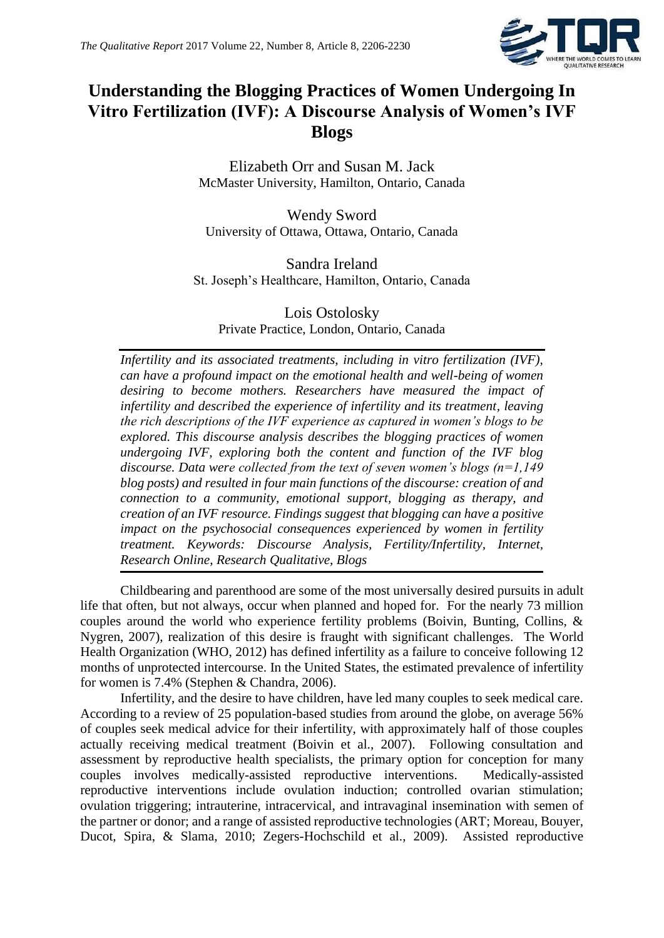

# **Understanding the Blogging Practices of Women Undergoing In Vitro Fertilization (IVF): A Discourse Analysis of Women's IVF Blogs**

Elizabeth Orr and Susan M. Jack McMaster University, Hamilton, Ontario, Canada

Wendy Sword University of Ottawa, Ottawa, Ontario, Canada

Sandra Ireland St. Joseph's Healthcare, Hamilton, Ontario, Canada

Lois Ostolosky Private Practice, London, Ontario, Canada

*Infertility and its associated treatments, including in vitro fertilization (IVF), can have a profound impact on the emotional health and well-being of women desiring to become mothers. Researchers have measured the impact of infertility and described the experience of infertility and its treatment, leaving the rich descriptions of the IVF experience as captured in women's blogs to be explored. This discourse analysis describes the blogging practices of women undergoing IVF, exploring both the content and function of the IVF blog discourse. Data were collected from the text of seven women's blogs (n=1,149 blog posts) and resulted in four main functions of the discourse: creation of and connection to a community, emotional support, blogging as therapy, and creation of an IVF resource. Findings suggest that blogging can have a positive impact on the psychosocial consequences experienced by women in fertility treatment. Keywords: Discourse Analysis, Fertility/Infertility, Internet, Research Online, Research Qualitative, Blogs*

Childbearing and parenthood are some of the most universally desired pursuits in adult life that often, but not always, occur when planned and hoped for. For the nearly 73 million couples around the world who experience fertility problems (Boivin, Bunting, Collins, & Nygren, 2007), realization of this desire is fraught with significant challenges. The World Health Organization (WHO, 2012) has defined infertility as a failure to conceive following 12 months of unprotected intercourse. In the United States, the estimated prevalence of infertility for women is 7.4% (Stephen & Chandra, 2006).

Infertility, and the desire to have children, have led many couples to seek medical care. According to a review of 25 population-based studies from around the globe, on average 56% of couples seek medical advice for their infertility, with approximately half of those couples actually receiving medical treatment (Boivin et al., 2007). Following consultation and assessment by reproductive health specialists, the primary option for conception for many couples involves medically-assisted reproductive interventions. Medically-assisted reproductive interventions include ovulation induction; controlled ovarian stimulation; ovulation triggering; intrauterine, intracervical, and intravaginal insemination with semen of the partner or donor; and a range of assisted reproductive technologies (ART; Moreau, Bouyer, Ducot, Spira, & Slama, 2010; Zegers-Hochschild et al., 2009). Assisted reproductive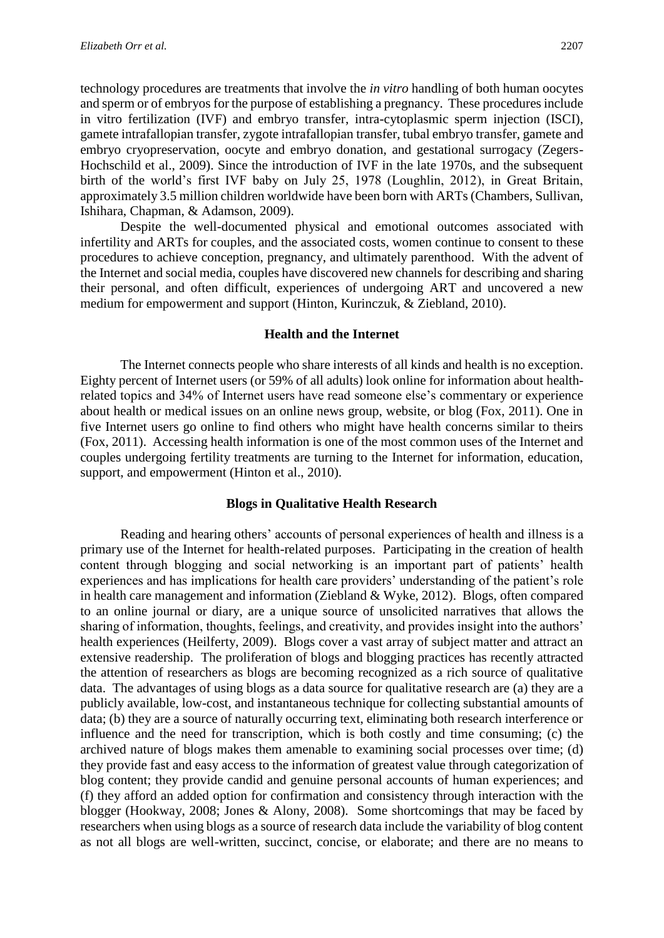technology procedures are treatments that involve the *in vitro* handling of both human oocytes and sperm or of embryos for the purpose of establishing a pregnancy. These procedures include in vitro fertilization (IVF) and embryo transfer, intra-cytoplasmic sperm injection (ISCI), gamete intrafallopian transfer, zygote intrafallopian transfer, tubal embryo transfer, gamete and embryo cryopreservation, oocyte and embryo donation, and gestational surrogacy (Zegers-Hochschild et al., 2009). Since the introduction of IVF in the late 1970s, and the subsequent birth of the world's first IVF baby on July 25, 1978 (Loughlin, 2012), in Great Britain, approximately 3.5 million children worldwide have been born with ARTs (Chambers, Sullivan, Ishihara, Chapman, & Adamson, 2009).

Despite the well-documented physical and emotional outcomes associated with infertility and ARTs for couples, and the associated costs, women continue to consent to these procedures to achieve conception, pregnancy, and ultimately parenthood. With the advent of the Internet and social media, couples have discovered new channels for describing and sharing their personal, and often difficult, experiences of undergoing ART and uncovered a new medium for empowerment and support (Hinton, Kurinczuk, & Ziebland, 2010).

#### **Health and the Internet**

The Internet connects people who share interests of all kinds and health is no exception. Eighty percent of Internet users (or 59% of all adults) look online for information about healthrelated topics and 34% of Internet users have read someone else's commentary or experience about health or medical issues on an online news group, website, or blog (Fox, 2011). One in five Internet users go online to find others who might have health concerns similar to theirs (Fox, 2011). Accessing health information is one of the most common uses of the Internet and couples undergoing fertility treatments are turning to the Internet for information, education, support, and empowerment (Hinton et al., 2010).

#### **Blogs in Qualitative Health Research**

Reading and hearing others' accounts of personal experiences of health and illness is a primary use of the Internet for health-related purposes. Participating in the creation of health content through blogging and social networking is an important part of patients' health experiences and has implications for health care providers' understanding of the patient's role in health care management and information (Ziebland & Wyke, 2012). Blogs, often compared to an online journal or diary, are a unique source of unsolicited narratives that allows the sharing of information, thoughts, feelings, and creativity, and provides insight into the authors' health experiences (Heilferty, 2009). Blogs cover a vast array of subject matter and attract an extensive readership. The proliferation of blogs and blogging practices has recently attracted the attention of researchers as blogs are becoming recognized as a rich source of qualitative data. The advantages of using blogs as a data source for qualitative research are (a) they are a publicly available, low-cost, and instantaneous technique for collecting substantial amounts of data; (b) they are a source of naturally occurring text, eliminating both research interference or influence and the need for transcription, which is both costly and time consuming; (c) the archived nature of blogs makes them amenable to examining social processes over time; (d) they provide fast and easy access to the information of greatest value through categorization of blog content; they provide candid and genuine personal accounts of human experiences; and (f) they afford an added option for confirmation and consistency through interaction with the blogger (Hookway, 2008; Jones & Alony, 2008). Some shortcomings that may be faced by researchers when using blogs as a source of research data include the variability of blog content as not all blogs are well-written, succinct, concise, or elaborate; and there are no means to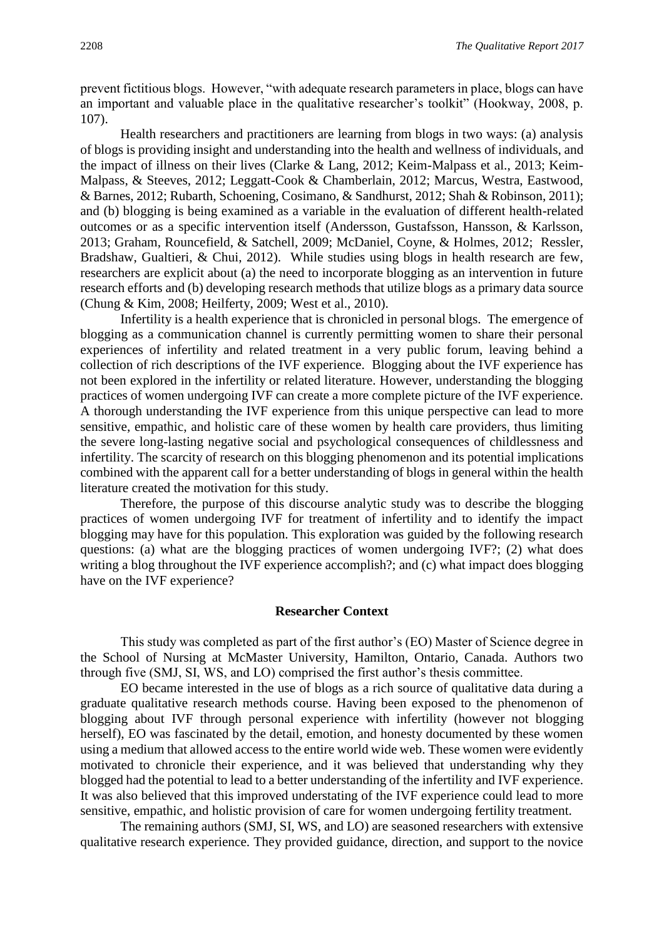prevent fictitious blogs. However, "with adequate research parameters in place, blogs can have an important and valuable place in the qualitative researcher's toolkit" (Hookway, 2008, p. 107).

Health researchers and practitioners are learning from blogs in two ways: (a) analysis of blogs is providing insight and understanding into the health and wellness of individuals, and the impact of illness on their lives (Clarke & Lang, 2012; Keim-Malpass et al., 2013; Keim-Malpass, & Steeves, 2012; Leggatt-Cook & Chamberlain, 2012; Marcus, Westra, Eastwood, & Barnes, 2012; Rubarth, Schoening, Cosimano, & Sandhurst, 2012; Shah & Robinson, 2011); and (b) blogging is being examined as a variable in the evaluation of different health-related outcomes or as a specific intervention itself (Andersson, Gustafsson, Hansson, & Karlsson, 2013; Graham, Rouncefield, & Satchell, 2009; McDaniel, Coyne, & Holmes, 2012; Ressler, Bradshaw, Gualtieri, & Chui, 2012). While studies using blogs in health research are few, researchers are explicit about (a) the need to incorporate blogging as an intervention in future research efforts and (b) developing research methods that utilize blogs as a primary data source (Chung & Kim, 2008; Heilferty, 2009; West et al., 2010).

Infertility is a health experience that is chronicled in personal blogs. The emergence of blogging as a communication channel is currently permitting women to share their personal experiences of infertility and related treatment in a very public forum, leaving behind a collection of rich descriptions of the IVF experience. Blogging about the IVF experience has not been explored in the infertility or related literature. However, understanding the blogging practices of women undergoing IVF can create a more complete picture of the IVF experience. A thorough understanding the IVF experience from this unique perspective can lead to more sensitive, empathic, and holistic care of these women by health care providers, thus limiting the severe long-lasting negative social and psychological consequences of childlessness and infertility. The scarcity of research on this blogging phenomenon and its potential implications combined with the apparent call for a better understanding of blogs in general within the health literature created the motivation for this study.

Therefore, the purpose of this discourse analytic study was to describe the blogging practices of women undergoing IVF for treatment of infertility and to identify the impact blogging may have for this population. This exploration was guided by the following research questions: (a) what are the blogging practices of women undergoing IVF?; (2) what does writing a blog throughout the IVF experience accomplish?; and (c) what impact does blogging have on the IVF experience?

#### **Researcher Context**

This study was completed as part of the first author's (EO) Master of Science degree in the School of Nursing at McMaster University, Hamilton, Ontario, Canada. Authors two through five (SMJ, SI, WS, and LO) comprised the first author's thesis committee.

EO became interested in the use of blogs as a rich source of qualitative data during a graduate qualitative research methods course. Having been exposed to the phenomenon of blogging about IVF through personal experience with infertility (however not blogging herself), EO was fascinated by the detail, emotion, and honesty documented by these women using a medium that allowed access to the entire world wide web. These women were evidently motivated to chronicle their experience, and it was believed that understanding why they blogged had the potential to lead to a better understanding of the infertility and IVF experience. It was also believed that this improved understating of the IVF experience could lead to more sensitive, empathic, and holistic provision of care for women undergoing fertility treatment.

The remaining authors (SMJ, SI, WS, and LO) are seasoned researchers with extensive qualitative research experience. They provided guidance, direction, and support to the novice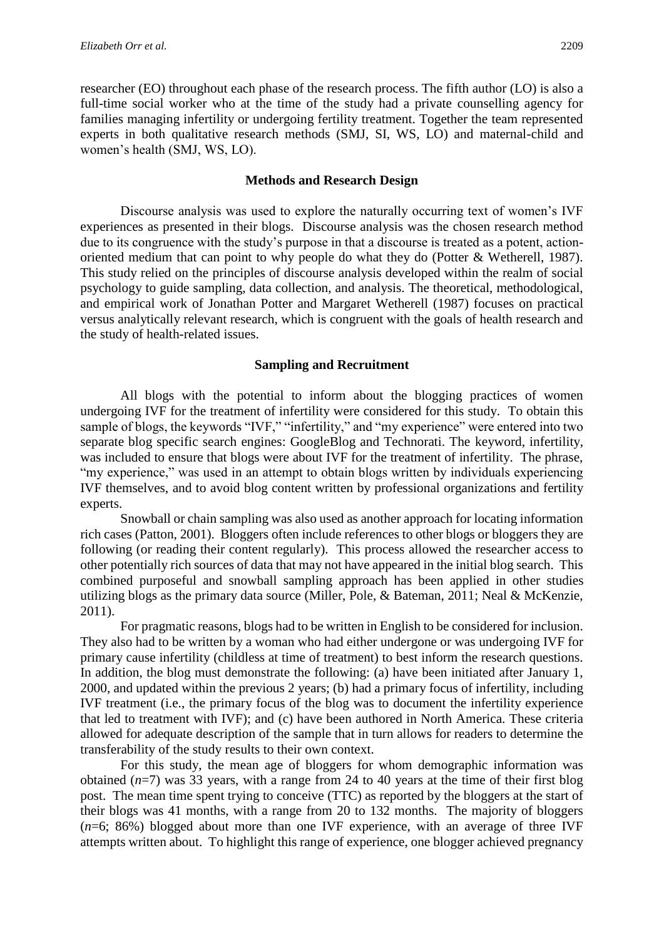researcher (EO) throughout each phase of the research process. The fifth author (LO) is also a full-time social worker who at the time of the study had a private counselling agency for families managing infertility or undergoing fertility treatment. Together the team represented experts in both qualitative research methods (SMJ, SI, WS, LO) and maternal-child and women's health (SMJ, WS, LO).

#### **Methods and Research Design**

Discourse analysis was used to explore the naturally occurring text of women's IVF experiences as presented in their blogs. Discourse analysis was the chosen research method due to its congruence with the study's purpose in that a discourse is treated as a potent, actionoriented medium that can point to why people do what they do (Potter & Wetherell, 1987). This study relied on the principles of discourse analysis developed within the realm of social psychology to guide sampling, data collection, and analysis. The theoretical, methodological, and empirical work of Jonathan Potter and Margaret Wetherell (1987) focuses on practical versus analytically relevant research, which is congruent with the goals of health research and the study of health-related issues.

#### **Sampling and Recruitment**

All blogs with the potential to inform about the blogging practices of women undergoing IVF for the treatment of infertility were considered for this study. To obtain this sample of blogs, the keywords "IVF," "infertility," and "my experience" were entered into two separate blog specific search engines: GoogleBlog and Technorati. The keyword, infertility, was included to ensure that blogs were about IVF for the treatment of infertility. The phrase, "my experience," was used in an attempt to obtain blogs written by individuals experiencing IVF themselves, and to avoid blog content written by professional organizations and fertility experts.

Snowball or chain sampling was also used as another approach for locating information rich cases (Patton, 2001). Bloggers often include references to other blogs or bloggers they are following (or reading their content regularly). This process allowed the researcher access to other potentially rich sources of data that may not have appeared in the initial blog search. This combined purposeful and snowball sampling approach has been applied in other studies utilizing blogs as the primary data source (Miller, Pole, & Bateman, 2011; Neal & McKenzie, 2011).

For pragmatic reasons, blogs had to be written in English to be considered for inclusion. They also had to be written by a woman who had either undergone or was undergoing IVF for primary cause infertility (childless at time of treatment) to best inform the research questions. In addition, the blog must demonstrate the following: (a) have been initiated after January 1, 2000, and updated within the previous 2 years; (b) had a primary focus of infertility, including IVF treatment (i.e., the primary focus of the blog was to document the infertility experience that led to treatment with IVF); and (c) have been authored in North America. These criteria allowed for adequate description of the sample that in turn allows for readers to determine the transferability of the study results to their own context.

For this study, the mean age of bloggers for whom demographic information was obtained (*n*=7) was 33 years, with a range from 24 to 40 years at the time of their first blog post. The mean time spent trying to conceive (TTC) as reported by the bloggers at the start of their blogs was 41 months, with a range from 20 to 132 months. The majority of bloggers (*n*=6; 86%) blogged about more than one IVF experience, with an average of three IVF attempts written about. To highlight this range of experience, one blogger achieved pregnancy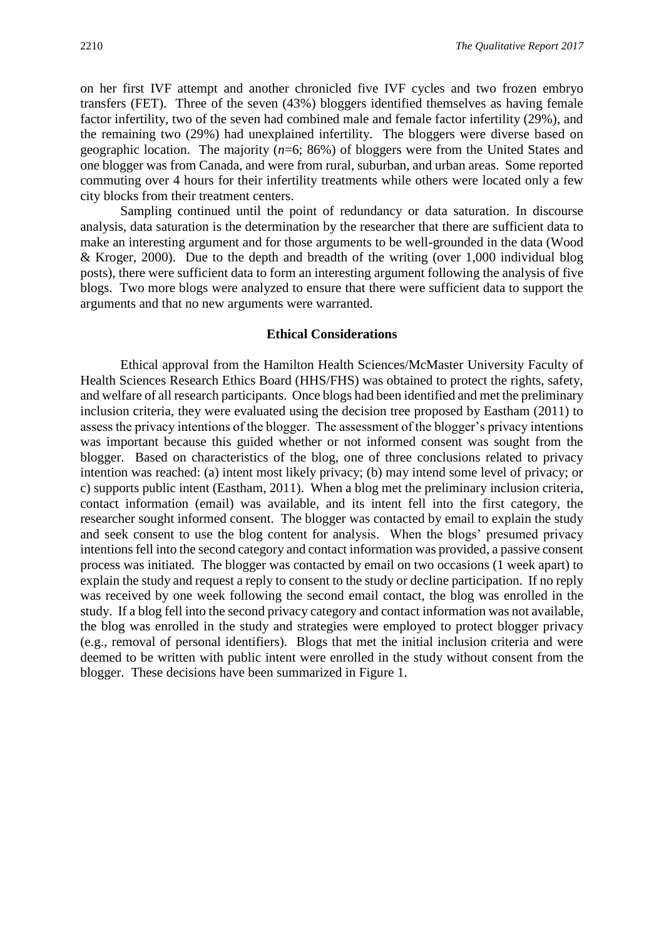on her first IVF attempt and another chronicled five IVF cycles and two frozen embryo transfers (FET). Three of the seven (43%) bloggers identified themselves as having female factor infertility, two of the seven had combined male and female factor infertility (29%), and the remaining two (29%) had unexplained infertility. The bloggers were diverse based on geographic location. The majority (*n*=6; 86%) of bloggers were from the United States and one blogger was from Canada, and were from rural, suburban, and urban areas. Some reported commuting over 4 hours for their infertility treatments while others were located only a few city blocks from their treatment centers.

Sampling continued until the point of redundancy or data saturation. In discourse analysis, data saturation is the determination by the researcher that there are sufficient data to make an interesting argument and for those arguments to be well-grounded in the data (Wood & Kroger, 2000). Due to the depth and breadth of the writing (over 1,000 individual blog posts), there were sufficient data to form an interesting argument following the analysis of five blogs. Two more blogs were analyzed to ensure that there were sufficient data to support the arguments and that no new arguments were warranted.

#### **Ethical Considerations**

Ethical approval from the Hamilton Health Sciences/McMaster University Faculty of Health Sciences Research Ethics Board (HHS/FHS) was obtained to protect the rights, safety, and welfare of all research participants. Once blogs had been identified and met the preliminary inclusion criteria, they were evaluated using the decision tree proposed by Eastham (2011) to assess the privacy intentions of the blogger. The assessment of the blogger's privacy intentions was important because this guided whether or not informed consent was sought from the blogger. Based on characteristics of the blog, one of three conclusions related to privacy intention was reached: (a) intent most likely privacy; (b) may intend some level of privacy; or c) supports public intent (Eastham, 2011). When a blog met the preliminary inclusion criteria, contact information (email) was available, and its intent fell into the first category, the researcher sought informed consent. The blogger was contacted by email to explain the study and seek consent to use the blog content for analysis. When the blogs' presumed privacy intentions fell into the second category and contact information was provided, a passive consent process was initiated. The blogger was contacted by email on two occasions (1 week apart) to explain the study and request a reply to consent to the study or decline participation. If no reply was received by one week following the second email contact, the blog was enrolled in the study. If a blog fell into the second privacy category and contact information was not available, the blog was enrolled in the study and strategies were employed to protect blogger privacy (e.g., removal of personal identifiers). Blogs that met the initial inclusion criteria and were deemed to be written with public intent were enrolled in the study without consent from the blogger. These decisions have been summarized in Figure 1.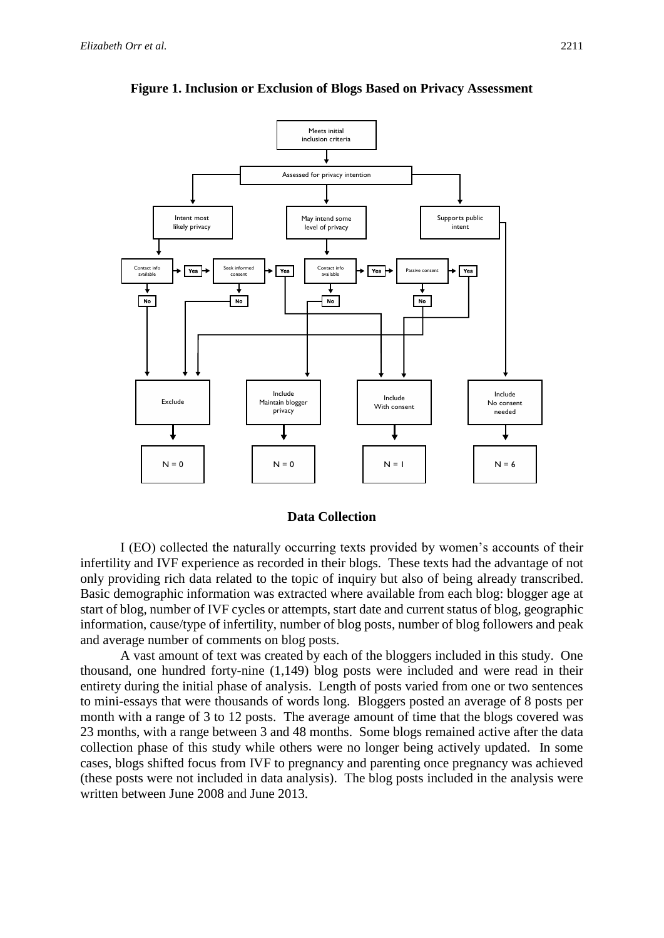

**Figure 1. Inclusion or Exclusion of Blogs Based on Privacy Assessment**

#### **Data Collection**

I (EO) collected the naturally occurring texts provided by women's accounts of their infertility and IVF experience as recorded in their blogs. These texts had the advantage of not only providing rich data related to the topic of inquiry but also of being already transcribed. Basic demographic information was extracted where available from each blog: blogger age at start of blog, number of IVF cycles or attempts, start date and current status of blog, geographic information, cause/type of infertility, number of blog posts, number of blog followers and peak and average number of comments on blog posts.

A vast amount of text was created by each of the bloggers included in this study. One thousand, one hundred forty-nine (1,149) blog posts were included and were read in their entirety during the initial phase of analysis. Length of posts varied from one or two sentences to mini-essays that were thousands of words long. Bloggers posted an average of 8 posts per month with a range of 3 to 12 posts. The average amount of time that the blogs covered was 23 months, with a range between 3 and 48 months. Some blogs remained active after the data collection phase of this study while others were no longer being actively updated. In some cases, blogs shifted focus from IVF to pregnancy and parenting once pregnancy was achieved (these posts were not included in data analysis). The blog posts included in the analysis were written between June 2008 and June 2013.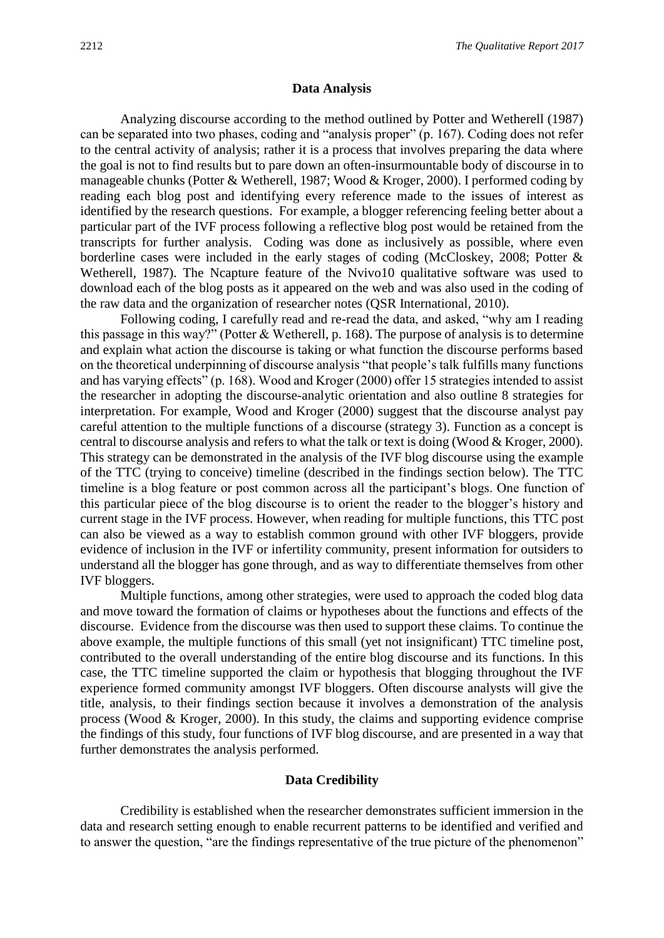#### **Data Analysis**

Analyzing discourse according to the method outlined by Potter and Wetherell (1987) can be separated into two phases, coding and "analysis proper" (p. 167). Coding does not refer to the central activity of analysis; rather it is a process that involves preparing the data where the goal is not to find results but to pare down an often-insurmountable body of discourse in to manageable chunks (Potter & Wetherell, 1987; Wood & Kroger, 2000). I performed coding by reading each blog post and identifying every reference made to the issues of interest as identified by the research questions. For example, a blogger referencing feeling better about a particular part of the IVF process following a reflective blog post would be retained from the transcripts for further analysis. Coding was done as inclusively as possible, where even borderline cases were included in the early stages of coding (McCloskey, 2008; Potter & Wetherell, 1987). The Ncapture feature of the Nvivo10 qualitative software was used to download each of the blog posts as it appeared on the web and was also used in the coding of the raw data and the organization of researcher notes (QSR International, 2010).

Following coding, I carefully read and re-read the data, and asked, "why am I reading this passage in this way?" (Potter & Wetherell, p. 168). The purpose of analysis is to determine and explain what action the discourse is taking or what function the discourse performs based on the theoretical underpinning of discourse analysis "that people's talk fulfills many functions and has varying effects" (p. 168). Wood and Kroger (2000) offer 15 strategies intended to assist the researcher in adopting the discourse-analytic orientation and also outline 8 strategies for interpretation. For example, Wood and Kroger (2000) suggest that the discourse analyst pay careful attention to the multiple functions of a discourse (strategy 3). Function as a concept is central to discourse analysis and refers to what the talk or text is doing (Wood & Kroger, 2000). This strategy can be demonstrated in the analysis of the IVF blog discourse using the example of the TTC (trying to conceive) timeline (described in the findings section below). The TTC timeline is a blog feature or post common across all the participant's blogs. One function of this particular piece of the blog discourse is to orient the reader to the blogger's history and current stage in the IVF process. However, when reading for multiple functions, this TTC post can also be viewed as a way to establish common ground with other IVF bloggers, provide evidence of inclusion in the IVF or infertility community, present information for outsiders to understand all the blogger has gone through, and as way to differentiate themselves from other IVF bloggers.

Multiple functions, among other strategies, were used to approach the coded blog data and move toward the formation of claims or hypotheses about the functions and effects of the discourse. Evidence from the discourse was then used to support these claims. To continue the above example, the multiple functions of this small (yet not insignificant) TTC timeline post, contributed to the overall understanding of the entire blog discourse and its functions. In this case, the TTC timeline supported the claim or hypothesis that blogging throughout the IVF experience formed community amongst IVF bloggers. Often discourse analysts will give the title, analysis, to their findings section because it involves a demonstration of the analysis process (Wood & Kroger, 2000). In this study, the claims and supporting evidence comprise the findings of this study, four functions of IVF blog discourse, and are presented in a way that further demonstrates the analysis performed.

#### **Data Credibility**

Credibility is established when the researcher demonstrates sufficient immersion in the data and research setting enough to enable recurrent patterns to be identified and verified and to answer the question, "are the findings representative of the true picture of the phenomenon"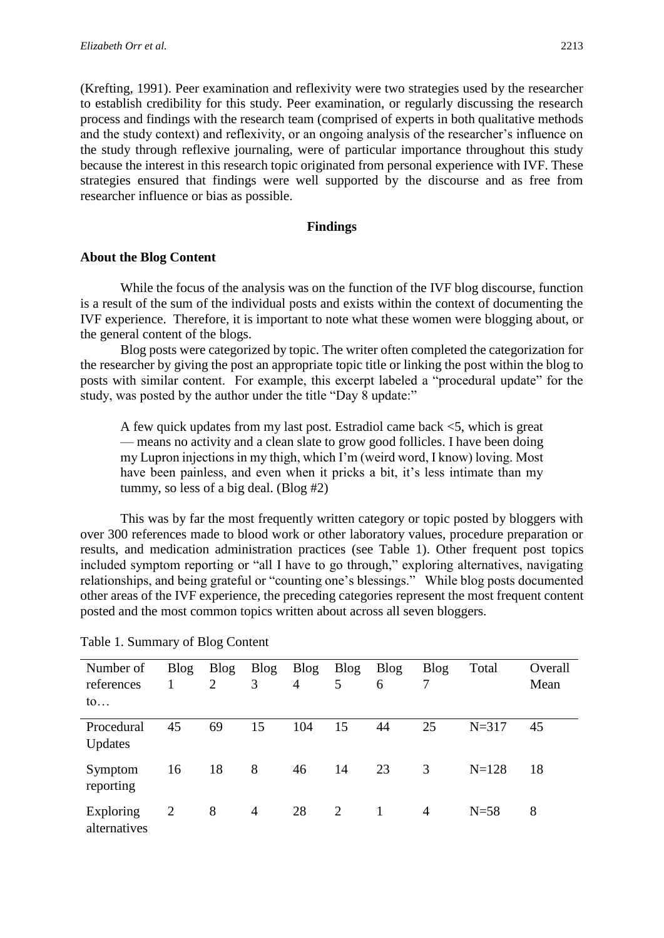(Krefting, 1991). Peer examination and reflexivity were two strategies used by the researcher to establish credibility for this study. Peer examination, or regularly discussing the research process and findings with the research team (comprised of experts in both qualitative methods and the study context) and reflexivity, or an ongoing analysis of the researcher's influence on the study through reflexive journaling, were of particular importance throughout this study because the interest in this research topic originated from personal experience with IVF. These strategies ensured that findings were well supported by the discourse and as free from researcher influence or bias as possible.

#### **Findings**

#### **About the Blog Content**

While the focus of the analysis was on the function of the IVF blog discourse, function is a result of the sum of the individual posts and exists within the context of documenting the IVF experience. Therefore, it is important to note what these women were blogging about, or the general content of the blogs.

Blog posts were categorized by topic. The writer often completed the categorization for the researcher by giving the post an appropriate topic title or linking the post within the blog to posts with similar content. For example, this excerpt labeled a "procedural update" for the study, was posted by the author under the title "Day 8 update:"

A few quick updates from my last post. Estradiol came back <5, which is great — means no activity and a clean slate to grow good follicles. I have been doing my Lupron injections in my thigh, which I'm (weird word, I know) loving. Most have been painless, and even when it pricks a bit, it's less intimate than my tummy, so less of a big deal. (Blog #2)

This was by far the most frequently written category or topic posted by bloggers with over 300 references made to blood work or other laboratory values, procedure preparation or results, and medication administration practices (see Table 1). Other frequent post topics included symptom reporting or "all I have to go through," exploring alternatives, navigating relationships, and being grateful or "counting one's blessings." While blog posts documented other areas of the IVF experience, the preceding categories represent the most frequent content posted and the most common topics written about across all seven bloggers.

| Number of<br>references<br>$\mathfrak{to} \dots$ | <b>Blog</b> | <b>Blog</b><br>$\overline{2}$ | <b>Blog</b><br>3 | <b>Blog</b><br>$\overline{4}$ | <b>Blog</b><br>5 | <b>Blog</b><br>6 | <b>Blog</b><br>7 | Total     | Overall<br>Mean |
|--------------------------------------------------|-------------|-------------------------------|------------------|-------------------------------|------------------|------------------|------------------|-----------|-----------------|
| Procedural<br>Updates                            | 45          | 69                            | 15               | 104                           | 15               | 44               | 25               | $N = 317$ | 45              |
| Symptom<br>reporting                             | 16          | 18                            | 8                | 46                            | 14               | 23               | 3                | $N = 128$ | 18              |
| Exploring<br>alternatives                        | 2           | 8                             | $\overline{4}$   | 28                            | 2                | $\overline{1}$   | 4                | $N=58$    | 8               |

Table 1. Summary of Blog Content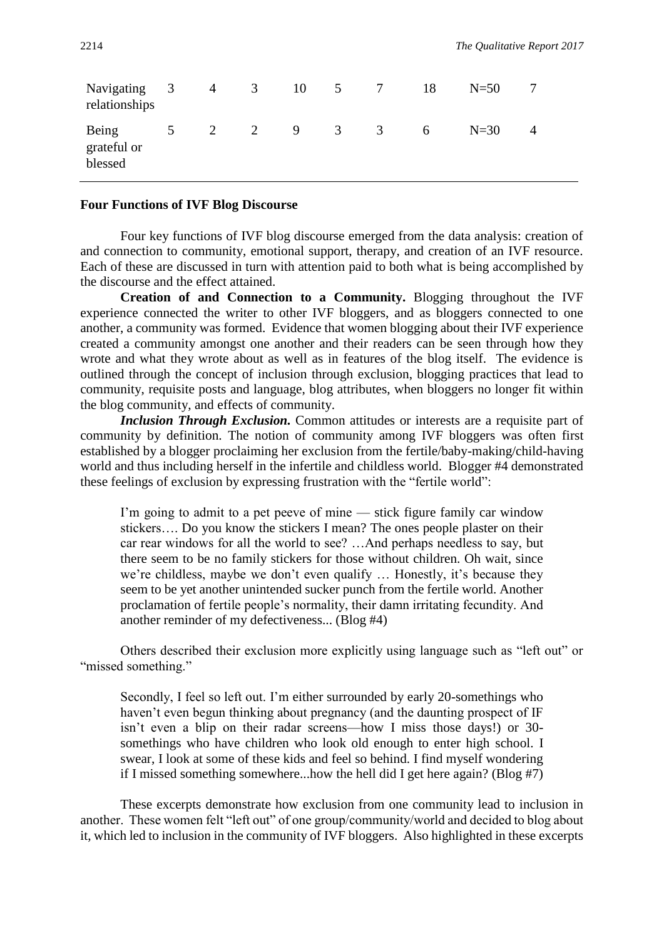| Navigating 3<br>relationships   |                | $\overline{4}$ | $\overline{\mathbf{3}}$ | 10 5 | $\overline{7}$ | 18 | $N = 50$ |   |
|---------------------------------|----------------|----------------|-------------------------|------|----------------|----|----------|---|
| Being<br>grateful or<br>blessed | 5 <sup>5</sup> | 2 2            |                         | 9 3  | $\overline{3}$ | 6  | $N=30$   | 4 |

#### **Four Functions of IVF Blog Discourse**

Four key functions of IVF blog discourse emerged from the data analysis: creation of and connection to community, emotional support, therapy, and creation of an IVF resource. Each of these are discussed in turn with attention paid to both what is being accomplished by the discourse and the effect attained.

**Creation of and Connection to a Community.** Blogging throughout the IVF experience connected the writer to other IVF bloggers, and as bloggers connected to one another, a community was formed. Evidence that women blogging about their IVF experience created a community amongst one another and their readers can be seen through how they wrote and what they wrote about as well as in features of the blog itself. The evidence is outlined through the concept of inclusion through exclusion, blogging practices that lead to community, requisite posts and language, blog attributes, when bloggers no longer fit within the blog community, and effects of community.

*Inclusion Through Exclusion.* Common attitudes or interests are a requisite part of community by definition. The notion of community among IVF bloggers was often first established by a blogger proclaiming her exclusion from the fertile/baby-making/child-having world and thus including herself in the infertile and childless world. Blogger #4 demonstrated these feelings of exclusion by expressing frustration with the "fertile world":

I'm going to admit to a pet peeve of mine — stick figure family car window stickers…. Do you know the stickers I mean? The ones people plaster on their car rear windows for all the world to see? …And perhaps needless to say, but there seem to be no family stickers for those without children. Oh wait, since we're childless, maybe we don't even qualify … Honestly, it's because they seem to be yet another unintended sucker punch from the fertile world. Another proclamation of fertile people's normality, their damn irritating fecundity. And another reminder of my defectiveness... (Blog #4)

Others described their exclusion more explicitly using language such as "left out" or "missed something."

Secondly, I feel so left out. I'm either surrounded by early 20-somethings who haven't even begun thinking about pregnancy (and the daunting prospect of IF isn't even a blip on their radar screens—how I miss those days!) or 30 somethings who have children who look old enough to enter high school. I swear, I look at some of these kids and feel so behind. I find myself wondering if I missed something somewhere...how the hell did I get here again? (Blog #7)

These excerpts demonstrate how exclusion from one community lead to inclusion in another. These women felt "left out" of one group/community/world and decided to blog about it, which led to inclusion in the community of IVF bloggers. Also highlighted in these excerpts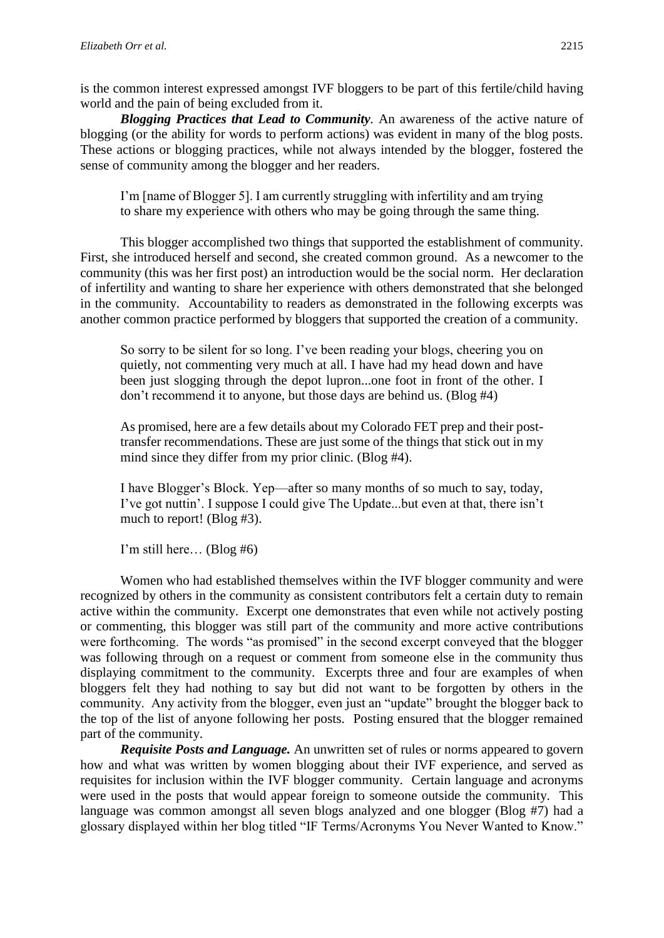is the common interest expressed amongst IVF bloggers to be part of this fertile/child having world and the pain of being excluded from it.

*Blogging Practices that Lead to Community.* An awareness of the active nature of blogging (or the ability for words to perform actions) was evident in many of the blog posts. These actions or blogging practices, while not always intended by the blogger, fostered the sense of community among the blogger and her readers.

I'm [name of Blogger 5]. I am currently struggling with infertility and am trying to share my experience with others who may be going through the same thing.

This blogger accomplished two things that supported the establishment of community. First, she introduced herself and second, she created common ground. As a newcomer to the community (this was her first post) an introduction would be the social norm. Her declaration of infertility and wanting to share her experience with others demonstrated that she belonged in the community. Accountability to readers as demonstrated in the following excerpts was another common practice performed by bloggers that supported the creation of a community.

So sorry to be silent for so long. I've been reading your blogs, cheering you on quietly, not commenting very much at all. I have had my head down and have been just slogging through the depot lupron...one foot in front of the other. I don't recommend it to anyone, but those days are behind us. (Blog #4)

As promised, here are a few details about my Colorado FET prep and their posttransfer recommendations. These are just some of the things that stick out in my mind since they differ from my prior clinic. (Blog #4).

I have Blogger's Block. Yep—after so many months of so much to say, today, I've got nuttin'. I suppose I could give The Update...but even at that, there isn't much to report! (Blog #3).

I'm still here… (Blog #6)

Women who had established themselves within the IVF blogger community and were recognized by others in the community as consistent contributors felt a certain duty to remain active within the community. Excerpt one demonstrates that even while not actively posting or commenting, this blogger was still part of the community and more active contributions were forthcoming. The words "as promised" in the second excerpt conveyed that the blogger was following through on a request or comment from someone else in the community thus displaying commitment to the community. Excerpts three and four are examples of when bloggers felt they had nothing to say but did not want to be forgotten by others in the community. Any activity from the blogger, even just an "update" brought the blogger back to the top of the list of anyone following her posts. Posting ensured that the blogger remained part of the community.

*Requisite Posts and Language.* An unwritten set of rules or norms appeared to govern how and what was written by women blogging about their IVF experience, and served as requisites for inclusion within the IVF blogger community. Certain language and acronyms were used in the posts that would appear foreign to someone outside the community. This language was common amongst all seven blogs analyzed and one blogger (Blog #7) had a glossary displayed within her blog titled "IF Terms/Acronyms You Never Wanted to Know."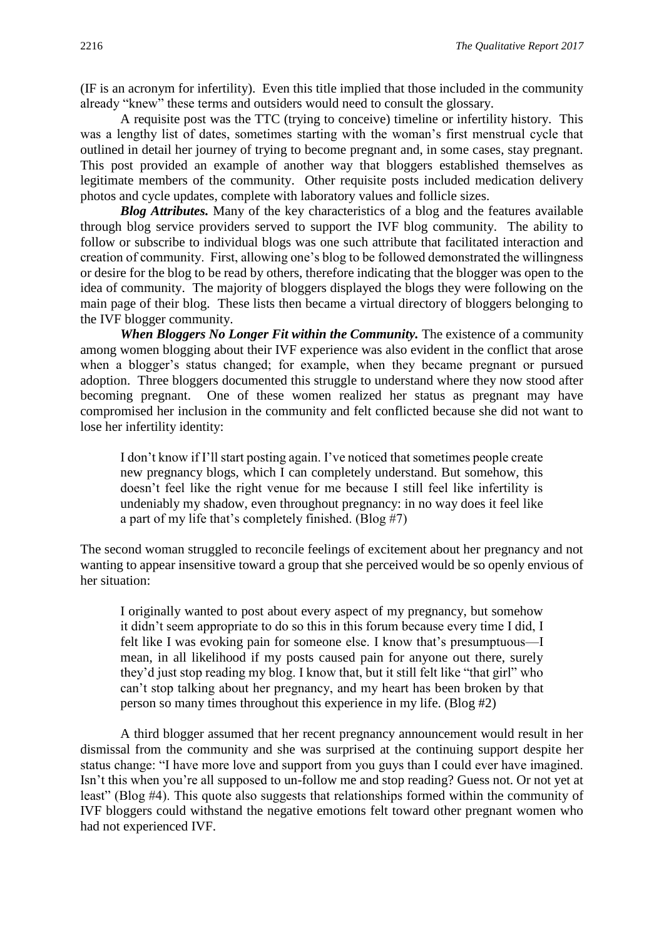(IF is an acronym for infertility). Even this title implied that those included in the community already "knew" these terms and outsiders would need to consult the glossary.

A requisite post was the TTC (trying to conceive) timeline or infertility history. This was a lengthy list of dates, sometimes starting with the woman's first menstrual cycle that outlined in detail her journey of trying to become pregnant and, in some cases, stay pregnant. This post provided an example of another way that bloggers established themselves as legitimate members of the community. Other requisite posts included medication delivery photos and cycle updates, complete with laboratory values and follicle sizes.

*Blog Attributes.* Many of the key characteristics of a blog and the features available through blog service providers served to support the IVF blog community. The ability to follow or subscribe to individual blogs was one such attribute that facilitated interaction and creation of community. First, allowing one's blog to be followed demonstrated the willingness or desire for the blog to be read by others, therefore indicating that the blogger was open to the idea of community. The majority of bloggers displayed the blogs they were following on the main page of their blog. These lists then became a virtual directory of bloggers belonging to the IVF blogger community.

*When Bloggers No Longer Fit within the Community.* The existence of a community among women blogging about their IVF experience was also evident in the conflict that arose when a blogger's status changed; for example, when they became pregnant or pursued adoption. Three bloggers documented this struggle to understand where they now stood after becoming pregnant. One of these women realized her status as pregnant may have compromised her inclusion in the community and felt conflicted because she did not want to lose her infertility identity:

I don't know if I'll start posting again. I've noticed that sometimes people create new pregnancy blogs, which I can completely understand. But somehow, this doesn't feel like the right venue for me because I still feel like infertility is undeniably my shadow, even throughout pregnancy: in no way does it feel like a part of my life that's completely finished. (Blog  $#7$ )

The second woman struggled to reconcile feelings of excitement about her pregnancy and not wanting to appear insensitive toward a group that she perceived would be so openly envious of her situation:

I originally wanted to post about every aspect of my pregnancy, but somehow it didn't seem appropriate to do so this in this forum because every time I did, I felt like I was evoking pain for someone else. I know that's presumptuous—I mean, in all likelihood if my posts caused pain for anyone out there, surely they'd just stop reading my blog. I know that, but it still felt like "that girl" who can't stop talking about her pregnancy, and my heart has been broken by that person so many times throughout this experience in my life. (Blog #2)

A third blogger assumed that her recent pregnancy announcement would result in her dismissal from the community and she was surprised at the continuing support despite her status change: "I have more love and support from you guys than I could ever have imagined. Isn't this when you're all supposed to un-follow me and stop reading? Guess not. Or not yet at least" (Blog #4). This quote also suggests that relationships formed within the community of IVF bloggers could withstand the negative emotions felt toward other pregnant women who had not experienced IVF.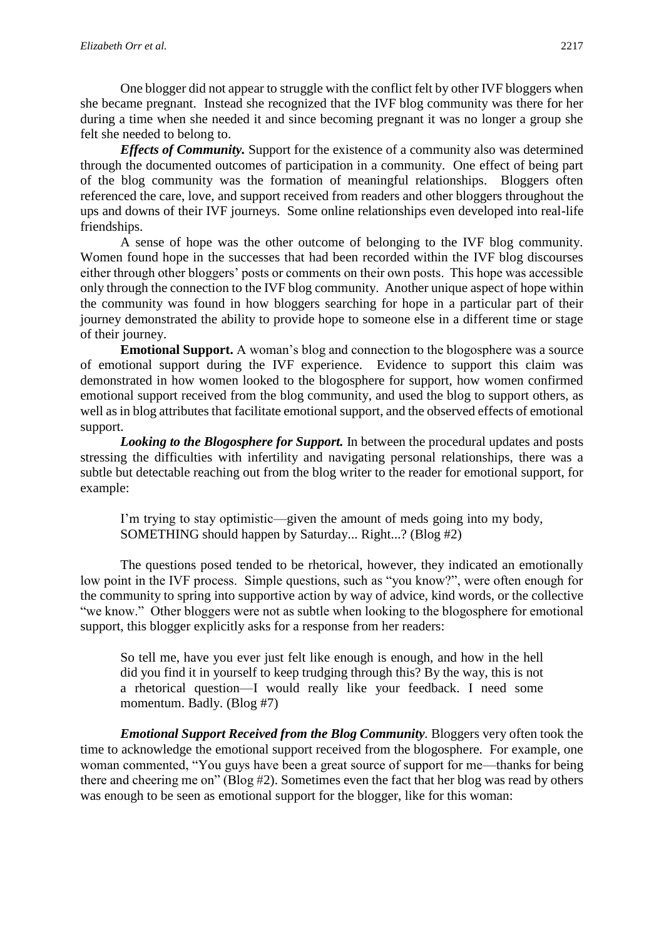One blogger did not appear to struggle with the conflict felt by other IVF bloggers when she became pregnant. Instead she recognized that the IVF blog community was there for her during a time when she needed it and since becoming pregnant it was no longer a group she felt she needed to belong to.

*Effects of Community.* Support for the existence of a community also was determined through the documented outcomes of participation in a community. One effect of being part of the blog community was the formation of meaningful relationships. Bloggers often referenced the care, love, and support received from readers and other bloggers throughout the ups and downs of their IVF journeys. Some online relationships even developed into real-life friendships.

A sense of hope was the other outcome of belonging to the IVF blog community. Women found hope in the successes that had been recorded within the IVF blog discourses either through other bloggers' posts or comments on their own posts. This hope was accessible only through the connection to the IVF blog community. Another unique aspect of hope within the community was found in how bloggers searching for hope in a particular part of their journey demonstrated the ability to provide hope to someone else in a different time or stage of their journey.

**Emotional Support.** A woman's blog and connection to the blogosphere was a source of emotional support during the IVF experience. Evidence to support this claim was demonstrated in how women looked to the blogosphere for support, how women confirmed emotional support received from the blog community, and used the blog to support others, as well as in blog attributes that facilitate emotional support, and the observed effects of emotional support.

*Looking to the Blogosphere for Support.* In between the procedural updates and posts stressing the difficulties with infertility and navigating personal relationships, there was a subtle but detectable reaching out from the blog writer to the reader for emotional support, for example:

I'm trying to stay optimistic—given the amount of meds going into my body, SOMETHING should happen by Saturday... Right...? (Blog #2)

The questions posed tended to be rhetorical, however, they indicated an emotionally low point in the IVF process. Simple questions, such as "you know?", were often enough for the community to spring into supportive action by way of advice, kind words, or the collective "we know." Other bloggers were not as subtle when looking to the blogosphere for emotional support, this blogger explicitly asks for a response from her readers:

So tell me, have you ever just felt like enough is enough, and how in the hell did you find it in yourself to keep trudging through this? By the way, this is not a rhetorical question—I would really like your feedback. I need some momentum. Badly. (Blog #7)

*Emotional Support Received from the Blog Community.* Bloggers very often took the time to acknowledge the emotional support received from the blogosphere. For example, one woman commented, "You guys have been a great source of support for me—thanks for being there and cheering me on" (Blog #2). Sometimes even the fact that her blog was read by others was enough to be seen as emotional support for the blogger, like for this woman: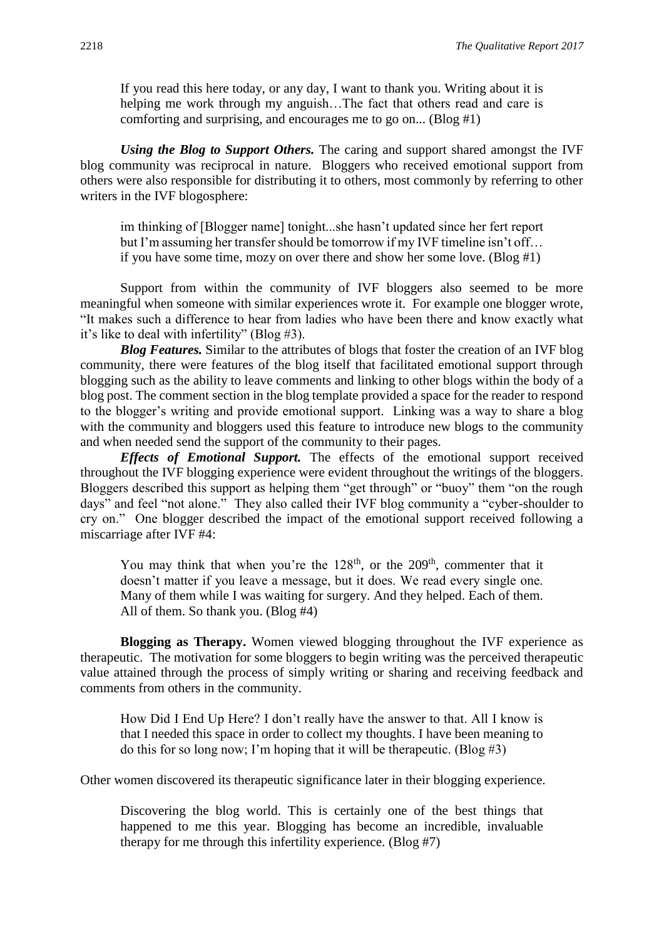If you read this here today, or any day, I want to thank you. Writing about it is helping me work through my anguish…The fact that others read and care is comforting and surprising, and encourages me to go on... (Blog #1)

*Using the Blog to Support Others.* The caring and support shared amongst the IVF blog community was reciprocal in nature. Bloggers who received emotional support from others were also responsible for distributing it to others, most commonly by referring to other writers in the IVF blogosphere:

im thinking of [Blogger name] tonight...she hasn't updated since her fert report but I'm assuming her transfer should be tomorrow if my IVF timeline isn't off… if you have some time, mozy on over there and show her some love. (Blog #1)

Support from within the community of IVF bloggers also seemed to be more meaningful when someone with similar experiences wrote it. For example one blogger wrote, "It makes such a difference to hear from ladies who have been there and know exactly what it's like to deal with infertility" (Blog #3).

*Blog Features.* Similar to the attributes of blogs that foster the creation of an IVF blog community, there were features of the blog itself that facilitated emotional support through blogging such as the ability to leave comments and linking to other blogs within the body of a blog post. The comment section in the blog template provided a space for the reader to respond to the blogger's writing and provide emotional support. Linking was a way to share a blog with the community and bloggers used this feature to introduce new blogs to the community and when needed send the support of the community to their pages.

*Effects of Emotional Support.* The effects of the emotional support received throughout the IVF blogging experience were evident throughout the writings of the bloggers. Bloggers described this support as helping them "get through" or "buoy" them "on the rough days" and feel "not alone." They also called their IVF blog community a "cyber-shoulder to cry on." One blogger described the impact of the emotional support received following a miscarriage after IVF #4:

You may think that when you're the  $128<sup>th</sup>$ , or the  $209<sup>th</sup>$ , commenter that it doesn't matter if you leave a message, but it does. We read every single one. Many of them while I was waiting for surgery. And they helped. Each of them. All of them. So thank you. (Blog #4)

**Blogging as Therapy.** Women viewed blogging throughout the IVF experience as therapeutic. The motivation for some bloggers to begin writing was the perceived therapeutic value attained through the process of simply writing or sharing and receiving feedback and comments from others in the community.

How Did I End Up Here? I don't really have the answer to that. All I know is that I needed this space in order to collect my thoughts. I have been meaning to do this for so long now; I'm hoping that it will be therapeutic. (Blog  $#3$ )

Other women discovered its therapeutic significance later in their blogging experience.

Discovering the blog world. This is certainly one of the best things that happened to me this year. Blogging has become an incredible, invaluable therapy for me through this infertility experience. (Blog #7)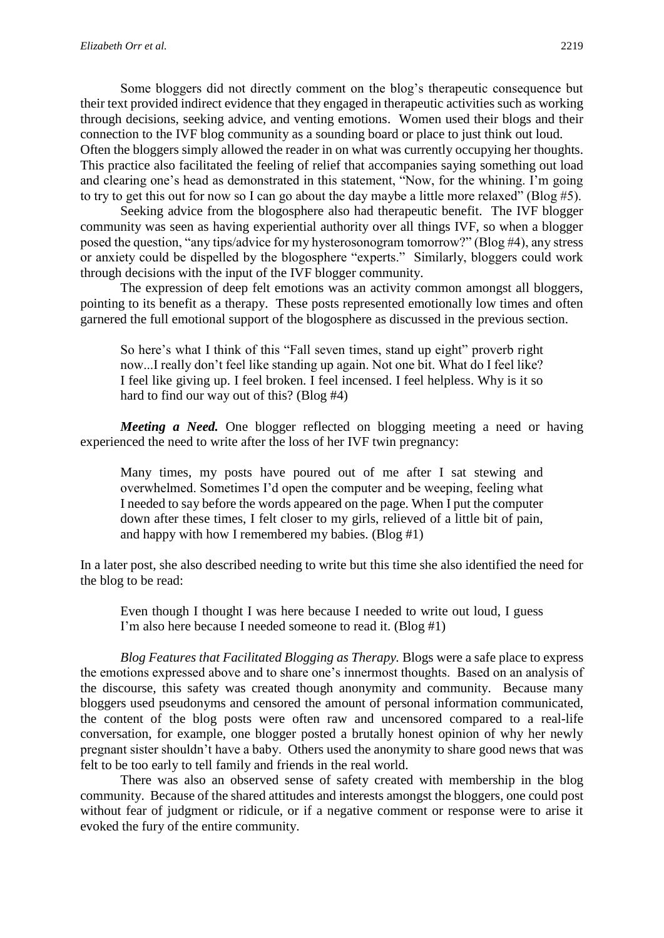Some bloggers did not directly comment on the blog's therapeutic consequence but their text provided indirect evidence that they engaged in therapeutic activities such as working through decisions, seeking advice, and venting emotions. Women used their blogs and their connection to the IVF blog community as a sounding board or place to just think out loud. Often the bloggers simply allowed the reader in on what was currently occupying her thoughts. This practice also facilitated the feeling of relief that accompanies saying something out load and clearing one's head as demonstrated in this statement, "Now, for the whining. I'm going to try to get this out for now so I can go about the day maybe a little more relaxed" (Blog #5).

Seeking advice from the blogosphere also had therapeutic benefit. The IVF blogger community was seen as having experiential authority over all things IVF, so when a blogger posed the question, "any tips/advice for my hysterosonogram tomorrow?" (Blog #4), any stress or anxiety could be dispelled by the blogosphere "experts." Similarly, bloggers could work through decisions with the input of the IVF blogger community.

The expression of deep felt emotions was an activity common amongst all bloggers, pointing to its benefit as a therapy. These posts represented emotionally low times and often garnered the full emotional support of the blogosphere as discussed in the previous section.

So here's what I think of this "Fall seven times, stand up eight" proverb right now...I really don't feel like standing up again. Not one bit. What do I feel like? I feel like giving up. I feel broken. I feel incensed. I feel helpless. Why is it so hard to find our way out of this? (Blog #4)

*Meeting a Need.* One blogger reflected on blogging meeting a need or having experienced the need to write after the loss of her IVF twin pregnancy:

Many times, my posts have poured out of me after I sat stewing and overwhelmed. Sometimes I'd open the computer and be weeping, feeling what I needed to say before the words appeared on the page. When I put the computer down after these times, I felt closer to my girls, relieved of a little bit of pain, and happy with how I remembered my babies. (Blog #1)

In a later post, she also described needing to write but this time she also identified the need for the blog to be read:

Even though I thought I was here because I needed to write out loud, I guess I'm also here because I needed someone to read it. (Blog #1)

*Blog Features that Facilitated Blogging as Therapy.* Blogs were a safe place to express the emotions expressed above and to share one's innermost thoughts. Based on an analysis of the discourse, this safety was created though anonymity and community. Because many bloggers used pseudonyms and censored the amount of personal information communicated, the content of the blog posts were often raw and uncensored compared to a real-life conversation, for example, one blogger posted a brutally honest opinion of why her newly pregnant sister shouldn't have a baby. Others used the anonymity to share good news that was felt to be too early to tell family and friends in the real world.

There was also an observed sense of safety created with membership in the blog community. Because of the shared attitudes and interests amongst the bloggers, one could post without fear of judgment or ridicule, or if a negative comment or response were to arise it evoked the fury of the entire community.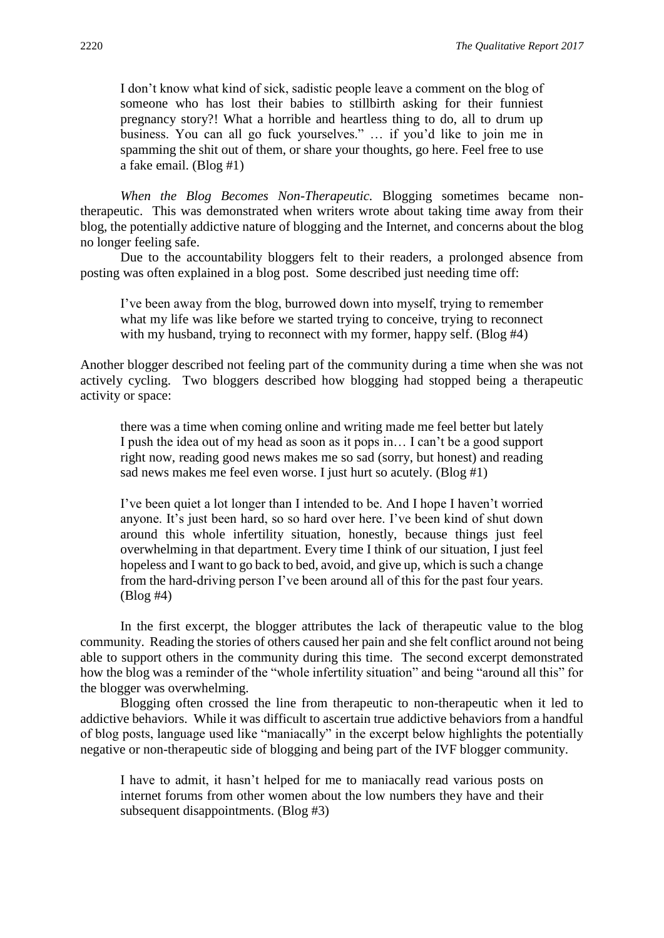I don't know what kind of sick, sadistic people leave a comment on the blog of someone who has lost their babies to stillbirth asking for their funniest pregnancy story?! What a horrible and heartless thing to do, all to drum up business. You can all go fuck yourselves." … if you'd like to join me in spamming the shit out of them, or share your thoughts, go here. Feel free to use a fake email. (Blog #1)

*When the Blog Becomes Non-Therapeutic.* Blogging sometimes became nontherapeutic. This was demonstrated when writers wrote about taking time away from their blog, the potentially addictive nature of blogging and the Internet, and concerns about the blog no longer feeling safe.

Due to the accountability bloggers felt to their readers, a prolonged absence from posting was often explained in a blog post. Some described just needing time off:

I've been away from the blog, burrowed down into myself, trying to remember what my life was like before we started trying to conceive, trying to reconnect with my husband, trying to reconnect with my former, happy self. (Blog #4)

Another blogger described not feeling part of the community during a time when she was not actively cycling. Two bloggers described how blogging had stopped being a therapeutic activity or space:

there was a time when coming online and writing made me feel better but lately I push the idea out of my head as soon as it pops in… I can't be a good support right now, reading good news makes me so sad (sorry, but honest) and reading sad news makes me feel even worse. I just hurt so acutely. (Blog #1)

I've been quiet a lot longer than I intended to be. And I hope I haven't worried anyone. It's just been hard, so so hard over here. I've been kind of shut down around this whole infertility situation, honestly, because things just feel overwhelming in that department. Every time I think of our situation, I just feel hopeless and I want to go back to bed, avoid, and give up, which is such a change from the hard-driving person I've been around all of this for the past four years. (Blog #4)

In the first excerpt, the blogger attributes the lack of therapeutic value to the blog community. Reading the stories of others caused her pain and she felt conflict around not being able to support others in the community during this time. The second excerpt demonstrated how the blog was a reminder of the "whole infertility situation" and being "around all this" for the blogger was overwhelming.

Blogging often crossed the line from therapeutic to non-therapeutic when it led to addictive behaviors. While it was difficult to ascertain true addictive behaviors from a handful of blog posts, language used like "maniacally" in the excerpt below highlights the potentially negative or non-therapeutic side of blogging and being part of the IVF blogger community.

I have to admit, it hasn't helped for me to maniacally read various posts on internet forums from other women about the low numbers they have and their subsequent disappointments. (Blog #3)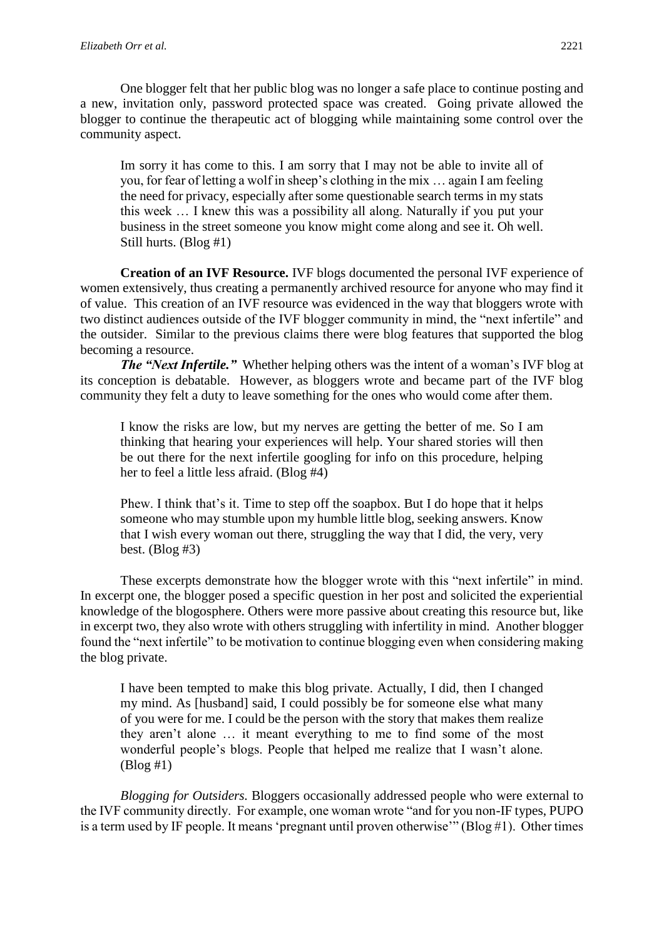One blogger felt that her public blog was no longer a safe place to continue posting and a new, invitation only, password protected space was created. Going private allowed the blogger to continue the therapeutic act of blogging while maintaining some control over the community aspect.

Im sorry it has come to this. I am sorry that I may not be able to invite all of you, for fear of letting a wolf in sheep's clothing in the mix … again I am feeling the need for privacy, especially after some questionable search terms in my stats this week … I knew this was a possibility all along. Naturally if you put your business in the street someone you know might come along and see it. Oh well. Still hurts. (Blog #1)

**Creation of an IVF Resource.** IVF blogs documented the personal IVF experience of women extensively, thus creating a permanently archived resource for anyone who may find it of value. This creation of an IVF resource was evidenced in the way that bloggers wrote with two distinct audiences outside of the IVF blogger community in mind, the "next infertile" and the outsider. Similar to the previous claims there were blog features that supported the blog becoming a resource.

*The "Next Infertile."* Whether helping others was the intent of a woman's IVF blog at its conception is debatable. However, as bloggers wrote and became part of the IVF blog community they felt a duty to leave something for the ones who would come after them.

I know the risks are low, but my nerves are getting the better of me. So I am thinking that hearing your experiences will help. Your shared stories will then be out there for the next infertile googling for info on this procedure, helping her to feel a little less afraid. (Blog #4)

Phew. I think that's it. Time to step off the soapbox. But I do hope that it helps someone who may stumble upon my humble little blog, seeking answers. Know that I wish every woman out there, struggling the way that I did, the very, very best. (Blog #3)

These excerpts demonstrate how the blogger wrote with this "next infertile" in mind. In excerpt one, the blogger posed a specific question in her post and solicited the experiential knowledge of the blogosphere. Others were more passive about creating this resource but, like in excerpt two, they also wrote with others struggling with infertility in mind. Another blogger found the "next infertile" to be motivation to continue blogging even when considering making the blog private.

I have been tempted to make this blog private. Actually, I did, then I changed my mind. As [husband] said, I could possibly be for someone else what many of you were for me. I could be the person with the story that makes them realize they aren't alone … it meant everything to me to find some of the most wonderful people's blogs. People that helped me realize that I wasn't alone. (Blog #1)

*Blogging for Outsiders.* Bloggers occasionally addressed people who were external to the IVF community directly. For example, one woman wrote "and for you non-IF types, PUPO is a term used by IF people. It means 'pregnant until proven otherwise'" (Blog #1). Other times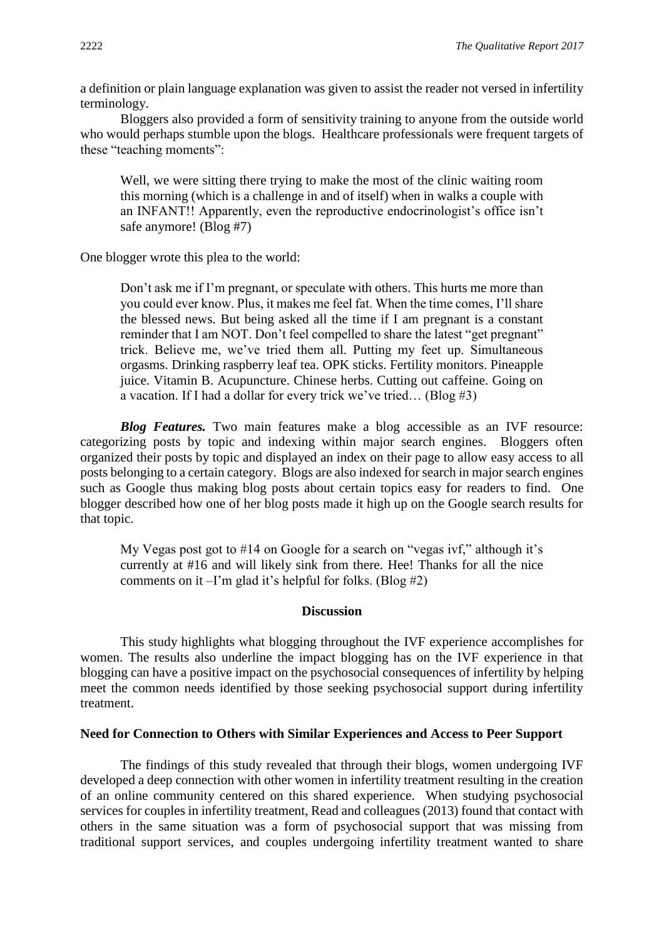a definition or plain language explanation was given to assist the reader not versed in infertility terminology.

Bloggers also provided a form of sensitivity training to anyone from the outside world who would perhaps stumble upon the blogs. Healthcare professionals were frequent targets of these "teaching moments":

Well, we were sitting there trying to make the most of the clinic waiting room this morning (which is a challenge in and of itself) when in walks a couple with an INFANT!! Apparently, even the reproductive endocrinologist's office isn't safe anymore! (Blog #7)

One blogger wrote this plea to the world:

Don't ask me if I'm pregnant, or speculate with others. This hurts me more than you could ever know. Plus, it makes me feel fat. When the time comes, I'll share the blessed news. But being asked all the time if I am pregnant is a constant reminder that I am NOT. Don't feel compelled to share the latest "get pregnant" trick. Believe me, we've tried them all. Putting my feet up. Simultaneous orgasms. Drinking raspberry leaf tea. OPK sticks. Fertility monitors. Pineapple juice. Vitamin B. Acupuncture. Chinese herbs. Cutting out caffeine. Going on a vacation. If I had a dollar for every trick we've tried… (Blog #3)

**Blog Features.** Two main features make a blog accessible as an IVF resource: categorizing posts by topic and indexing within major search engines. Bloggers often organized their posts by topic and displayed an index on their page to allow easy access to all posts belonging to a certain category. Blogs are also indexed for search in major search engines such as Google thus making blog posts about certain topics easy for readers to find. One blogger described how one of her blog posts made it high up on the Google search results for that topic.

My Vegas post got to #14 on Google for a search on "vegas ivf," although it's currently at #16 and will likely sink from there. Hee! Thanks for all the nice comments on it  $-I'm$  glad it's helpful for folks. (Blog #2)

#### **Discussion**

This study highlights what blogging throughout the IVF experience accomplishes for women. The results also underline the impact blogging has on the IVF experience in that blogging can have a positive impact on the psychosocial consequences of infertility by helping meet the common needs identified by those seeking psychosocial support during infertility treatment.

#### **Need for Connection to Others with Similar Experiences and Access to Peer Support**

The findings of this study revealed that through their blogs, women undergoing IVF developed a deep connection with other women in infertility treatment resulting in the creation of an online community centered on this shared experience. When studying psychosocial services for couples in infertility treatment, Read and colleagues (2013) found that contact with others in the same situation was a form of psychosocial support that was missing from traditional support services, and couples undergoing infertility treatment wanted to share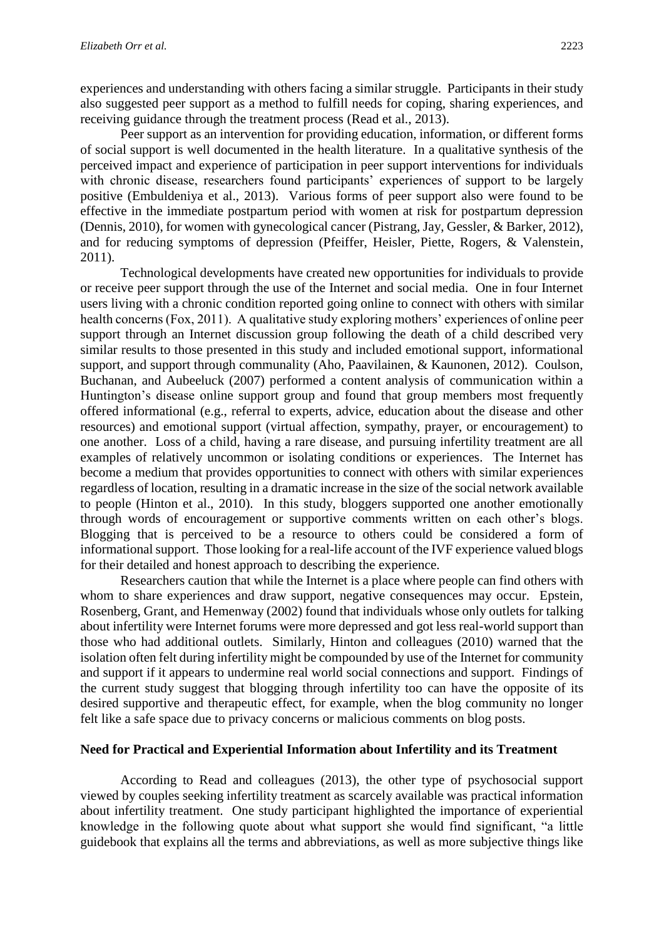experiences and understanding with others facing a similar struggle. Participants in their study also suggested peer support as a method to fulfill needs for coping, sharing experiences, and receiving guidance through the treatment process (Read et al., 2013).

Peer support as an intervention for providing education, information, or different forms of social support is well documented in the health literature. In a qualitative synthesis of the perceived impact and experience of participation in peer support interventions for individuals with chronic disease, researchers found participants' experiences of support to be largely positive (Embuldeniya et al., 2013). Various forms of peer support also were found to be effective in the immediate postpartum period with women at risk for postpartum depression (Dennis, 2010), for women with gynecological cancer (Pistrang, Jay, Gessler, & Barker, 2012), and for reducing symptoms of depression (Pfeiffer, Heisler, Piette, Rogers, & Valenstein, 2011).

Technological developments have created new opportunities for individuals to provide or receive peer support through the use of the Internet and social media. One in four Internet users living with a chronic condition reported going online to connect with others with similar health concerns (Fox, 2011). A qualitative study exploring mothers' experiences of online peer support through an Internet discussion group following the death of a child described very similar results to those presented in this study and included emotional support, informational support, and support through communality (Aho, Paavilainen, & Kaunonen, 2012). Coulson, Buchanan, and Aubeeluck (2007) performed a content analysis of communication within a Huntington's disease online support group and found that group members most frequently offered informational (e.g., referral to experts, advice, education about the disease and other resources) and emotional support (virtual affection, sympathy, prayer, or encouragement) to one another. Loss of a child, having a rare disease, and pursuing infertility treatment are all examples of relatively uncommon or isolating conditions or experiences. The Internet has become a medium that provides opportunities to connect with others with similar experiences regardless of location, resulting in a dramatic increase in the size of the social network available to people (Hinton et al., 2010). In this study, bloggers supported one another emotionally through words of encouragement or supportive comments written on each other's blogs. Blogging that is perceived to be a resource to others could be considered a form of informational support. Those looking for a real-life account of the IVF experience valued blogs for their detailed and honest approach to describing the experience.

Researchers caution that while the Internet is a place where people can find others with whom to share experiences and draw support, negative consequences may occur. Epstein, Rosenberg, Grant, and Hemenway (2002) found that individuals whose only outlets for talking about infertility were Internet forums were more depressed and got less real-world support than those who had additional outlets. Similarly, Hinton and colleagues (2010) warned that the isolation often felt during infertility might be compounded by use of the Internet for community and support if it appears to undermine real world social connections and support. Findings of the current study suggest that blogging through infertility too can have the opposite of its desired supportive and therapeutic effect, for example, when the blog community no longer felt like a safe space due to privacy concerns or malicious comments on blog posts.

#### **Need for Practical and Experiential Information about Infertility and its Treatment**

According to Read and colleagues (2013), the other type of psychosocial support viewed by couples seeking infertility treatment as scarcely available was practical information about infertility treatment. One study participant highlighted the importance of experiential knowledge in the following quote about what support she would find significant, "a little guidebook that explains all the terms and abbreviations, as well as more subjective things like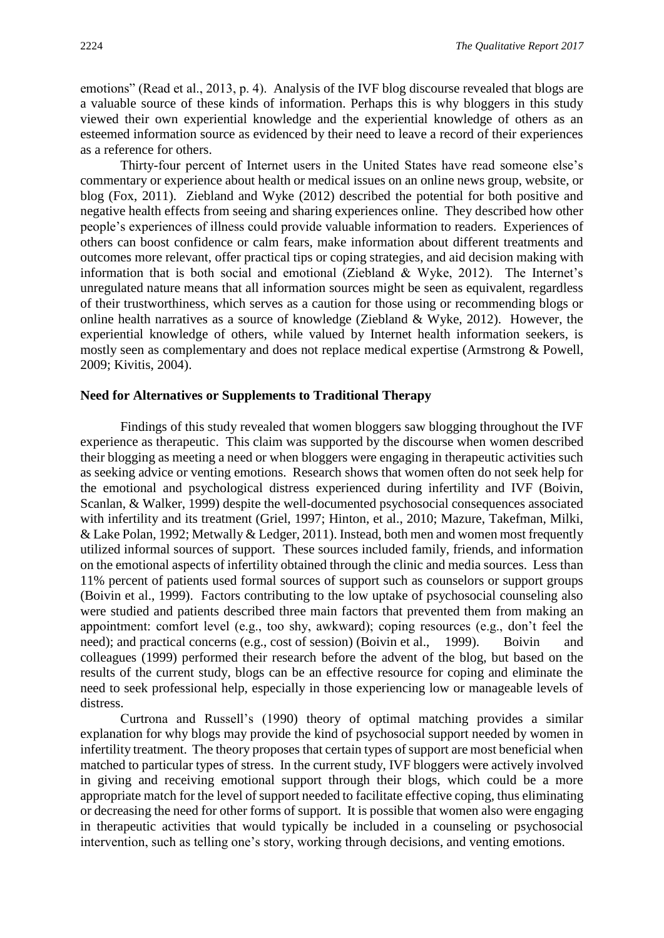emotions" (Read et al., 2013, p. 4). Analysis of the IVF blog discourse revealed that blogs are a valuable source of these kinds of information. Perhaps this is why bloggers in this study viewed their own experiential knowledge and the experiential knowledge of others as an esteemed information source as evidenced by their need to leave a record of their experiences as a reference for others.

Thirty-four percent of Internet users in the United States have read someone else's commentary or experience about health or medical issues on an online news group, website, or blog (Fox, 2011). Ziebland and Wyke (2012) described the potential for both positive and negative health effects from seeing and sharing experiences online. They described how other people's experiences of illness could provide valuable information to readers. Experiences of others can boost confidence or calm fears, make information about different treatments and outcomes more relevant, offer practical tips or coping strategies, and aid decision making with information that is both social and emotional (Ziebland & Wyke, 2012). The Internet's unregulated nature means that all information sources might be seen as equivalent, regardless of their trustworthiness, which serves as a caution for those using or recommending blogs or online health narratives as a source of knowledge (Ziebland & Wyke, 2012). However, the experiential knowledge of others, while valued by Internet health information seekers, is mostly seen as complementary and does not replace medical expertise (Armstrong & Powell, 2009; Kivitis, 2004).

## **Need for Alternatives or Supplements to Traditional Therapy**

Findings of this study revealed that women bloggers saw blogging throughout the IVF experience as therapeutic. This claim was supported by the discourse when women described their blogging as meeting a need or when bloggers were engaging in therapeutic activities such as seeking advice or venting emotions. Research shows that women often do not seek help for the emotional and psychological distress experienced during infertility and IVF (Boivin, Scanlan, & Walker, 1999) despite the well-documented psychosocial consequences associated with infertility and its treatment (Griel, 1997; Hinton, et al., 2010; Mazure, Takefman, Milki, & Lake Polan, 1992; Metwally & Ledger, 2011). Instead, both men and women most frequently utilized informal sources of support. These sources included family, friends, and information on the emotional aspects of infertility obtained through the clinic and media sources. Less than 11% percent of patients used formal sources of support such as counselors or support groups (Boivin et al., 1999). Factors contributing to the low uptake of psychosocial counseling also were studied and patients described three main factors that prevented them from making an appointment: comfort level (e.g., too shy, awkward); coping resources (e.g., don't feel the need); and practical concerns (e.g., cost of session) (Boivin et al., 1999). Boivin and colleagues (1999) performed their research before the advent of the blog, but based on the results of the current study, blogs can be an effective resource for coping and eliminate the need to seek professional help, especially in those experiencing low or manageable levels of distress.

Curtrona and Russell's (1990) theory of optimal matching provides a similar explanation for why blogs may provide the kind of psychosocial support needed by women in infertility treatment. The theory proposes that certain types of support are most beneficial when matched to particular types of stress. In the current study, IVF bloggers were actively involved in giving and receiving emotional support through their blogs, which could be a more appropriate match for the level of support needed to facilitate effective coping, thus eliminating or decreasing the need for other forms of support. It is possible that women also were engaging in therapeutic activities that would typically be included in a counseling or psychosocial intervention, such as telling one's story, working through decisions, and venting emotions.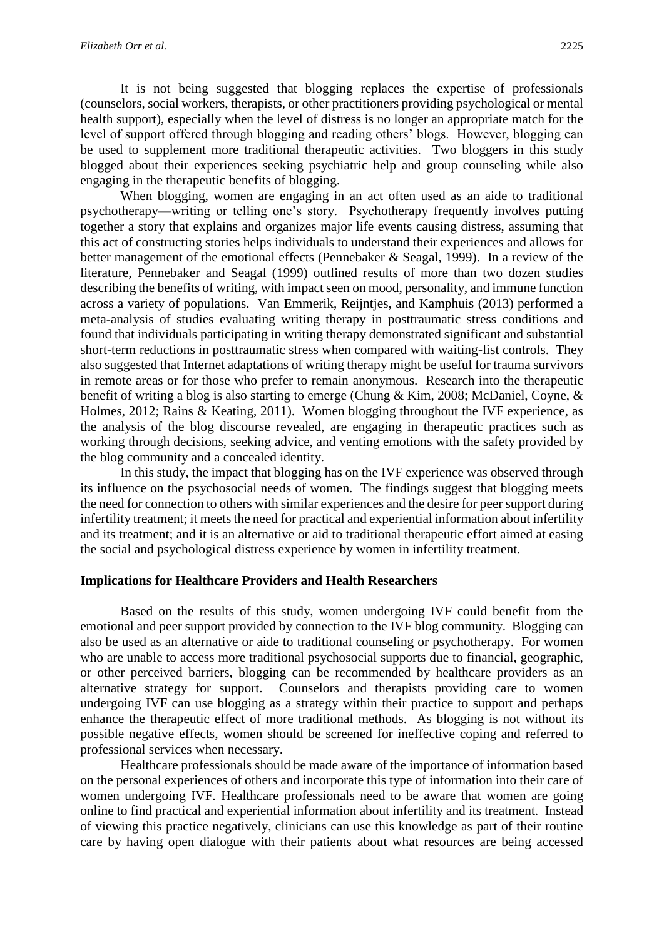It is not being suggested that blogging replaces the expertise of professionals (counselors, social workers, therapists, or other practitioners providing psychological or mental health support), especially when the level of distress is no longer an appropriate match for the level of support offered through blogging and reading others' blogs. However, blogging can be used to supplement more traditional therapeutic activities. Two bloggers in this study blogged about their experiences seeking psychiatric help and group counseling while also engaging in the therapeutic benefits of blogging.

When blogging, women are engaging in an act often used as an aide to traditional psychotherapy—writing or telling one's story. Psychotherapy frequently involves putting together a story that explains and organizes major life events causing distress, assuming that this act of constructing stories helps individuals to understand their experiences and allows for better management of the emotional effects (Pennebaker & Seagal, 1999). In a review of the literature, Pennebaker and Seagal (1999) outlined results of more than two dozen studies describing the benefits of writing, with impact seen on mood, personality, and immune function across a variety of populations. Van Emmerik, Reijntjes, and Kamphuis (2013) performed a meta-analysis of studies evaluating writing therapy in posttraumatic stress conditions and found that individuals participating in writing therapy demonstrated significant and substantial short-term reductions in posttraumatic stress when compared with waiting-list controls. They also suggested that Internet adaptations of writing therapy might be useful for trauma survivors in remote areas or for those who prefer to remain anonymous. Research into the therapeutic benefit of writing a blog is also starting to emerge (Chung & Kim, 2008; McDaniel, Coyne, & Holmes, 2012; Rains & Keating, 2011). Women blogging throughout the IVF experience, as the analysis of the blog discourse revealed, are engaging in therapeutic practices such as working through decisions, seeking advice, and venting emotions with the safety provided by the blog community and a concealed identity.

In this study, the impact that blogging has on the IVF experience was observed through its influence on the psychosocial needs of women. The findings suggest that blogging meets the need for connection to others with similar experiences and the desire for peer support during infertility treatment; it meets the need for practical and experiential information about infertility and its treatment; and it is an alternative or aid to traditional therapeutic effort aimed at easing the social and psychological distress experience by women in infertility treatment.

### **Implications for Healthcare Providers and Health Researchers**

Based on the results of this study, women undergoing IVF could benefit from the emotional and peer support provided by connection to the IVF blog community. Blogging can also be used as an alternative or aide to traditional counseling or psychotherapy. For women who are unable to access more traditional psychosocial supports due to financial, geographic, or other perceived barriers, blogging can be recommended by healthcare providers as an alternative strategy for support. Counselors and therapists providing care to women undergoing IVF can use blogging as a strategy within their practice to support and perhaps enhance the therapeutic effect of more traditional methods. As blogging is not without its possible negative effects, women should be screened for ineffective coping and referred to professional services when necessary.

Healthcare professionals should be made aware of the importance of information based on the personal experiences of others and incorporate this type of information into their care of women undergoing IVF. Healthcare professionals need to be aware that women are going online to find practical and experiential information about infertility and its treatment. Instead of viewing this practice negatively, clinicians can use this knowledge as part of their routine care by having open dialogue with their patients about what resources are being accessed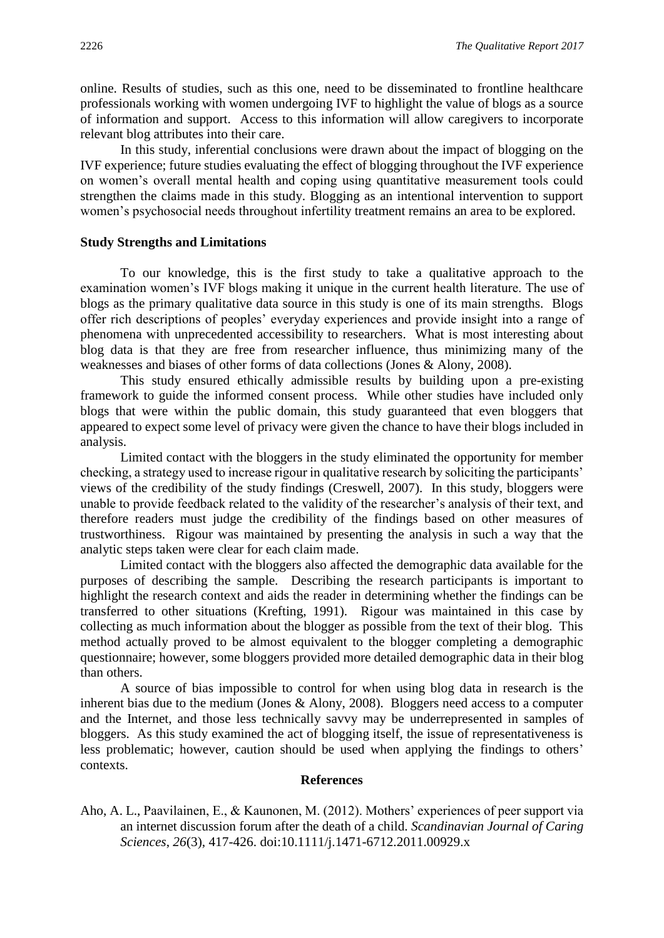online. Results of studies, such as this one, need to be disseminated to frontline healthcare professionals working with women undergoing IVF to highlight the value of blogs as a source of information and support. Access to this information will allow caregivers to incorporate relevant blog attributes into their care.

In this study, inferential conclusions were drawn about the impact of blogging on the IVF experience; future studies evaluating the effect of blogging throughout the IVF experience on women's overall mental health and coping using quantitative measurement tools could strengthen the claims made in this study. Blogging as an intentional intervention to support women's psychosocial needs throughout infertility treatment remains an area to be explored.

#### **Study Strengths and Limitations**

To our knowledge, this is the first study to take a qualitative approach to the examination women's IVF blogs making it unique in the current health literature. The use of blogs as the primary qualitative data source in this study is one of its main strengths. Blogs offer rich descriptions of peoples' everyday experiences and provide insight into a range of phenomena with unprecedented accessibility to researchers. What is most interesting about blog data is that they are free from researcher influence, thus minimizing many of the weaknesses and biases of other forms of data collections (Jones & Alony, 2008).

This study ensured ethically admissible results by building upon a pre-existing framework to guide the informed consent process. While other studies have included only blogs that were within the public domain, this study guaranteed that even bloggers that appeared to expect some level of privacy were given the chance to have their blogs included in analysis.

Limited contact with the bloggers in the study eliminated the opportunity for member checking, a strategy used to increase rigour in qualitative research by soliciting the participants' views of the credibility of the study findings (Creswell, 2007). In this study, bloggers were unable to provide feedback related to the validity of the researcher's analysis of their text, and therefore readers must judge the credibility of the findings based on other measures of trustworthiness. Rigour was maintained by presenting the analysis in such a way that the analytic steps taken were clear for each claim made.

Limited contact with the bloggers also affected the demographic data available for the purposes of describing the sample. Describing the research participants is important to highlight the research context and aids the reader in determining whether the findings can be transferred to other situations (Krefting, 1991). Rigour was maintained in this case by collecting as much information about the blogger as possible from the text of their blog. This method actually proved to be almost equivalent to the blogger completing a demographic questionnaire; however, some bloggers provided more detailed demographic data in their blog than others.

A source of bias impossible to control for when using blog data in research is the inherent bias due to the medium (Jones & Alony, 2008). Bloggers need access to a computer and the Internet, and those less technically savvy may be underrepresented in samples of bloggers. As this study examined the act of blogging itself, the issue of representativeness is less problematic; however, caution should be used when applying the findings to others' contexts.

#### **References**

Aho, A. L., Paavilainen, E., & Kaunonen, M. (2012). Mothers' experiences of peer support via an internet discussion forum after the death of a child. *Scandinavian Journal of Caring Sciences*, *26*(3), 417-426. doi:10.1111/j.1471-6712.2011.00929.x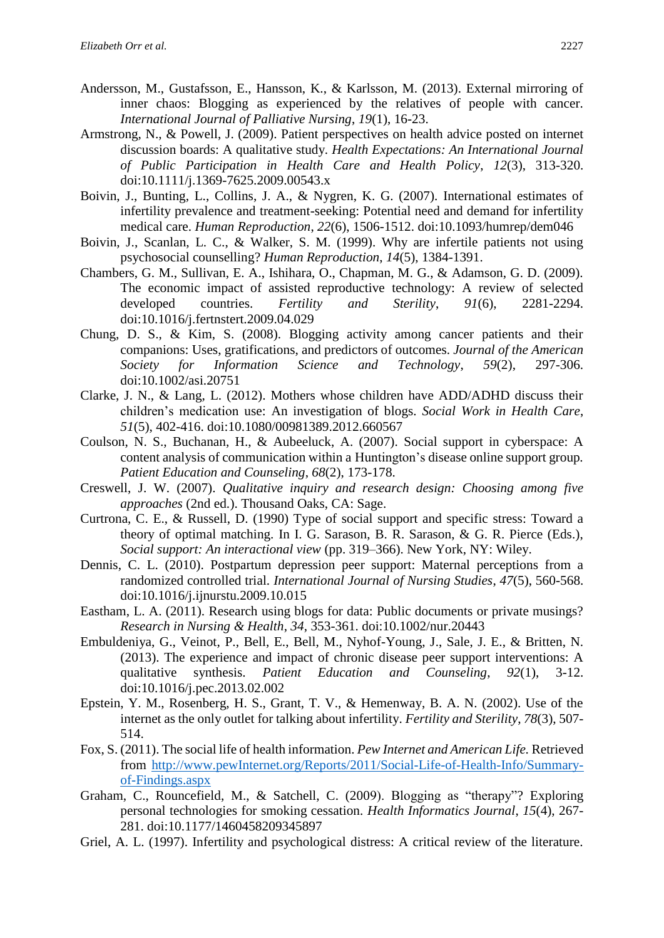- Andersson, M., Gustafsson, E., Hansson, K., & Karlsson, M. (2013). External mirroring of inner chaos: Blogging as experienced by the relatives of people with cancer. *International Journal of Palliative Nursing*, *19*(1), 16-23.
- Armstrong, N., & Powell, J. (2009). Patient perspectives on health advice posted on internet discussion boards: A qualitative study. *Health Expectations: An International Journal of Public Participation in Health Care and Health Policy*, *12*(3), 313-320. doi:10.1111/j.1369-7625.2009.00543.x
- Boivin, J., Bunting, L., Collins, J. A., & Nygren, K. G. (2007). International estimates of infertility prevalence and treatment-seeking: Potential need and demand for infertility medical care. *Human Reproduction*, *22*(6), 1506-1512. doi:10.1093/humrep/dem046
- Boivin, J., Scanlan, L. C., & Walker, S. M. (1999). Why are infertile patients not using psychosocial counselling? *Human Reproduction*, *14*(5), 1384-1391.
- Chambers, G. M., Sullivan, E. A., Ishihara, O., Chapman, M. G., & Adamson, G. D. (2009). The economic impact of assisted reproductive technology: A review of selected developed countries. *Fertility and Sterility*, *91*(6), 2281-2294. doi:10.1016/j.fertnstert.2009.04.029
- Chung, D. S., & Kim, S. (2008). Blogging activity among cancer patients and their companions: Uses, gratifications, and predictors of outcomes. *Journal of the American Society for Information Science and Technology*, *59*(2), 297-306. doi:10.1002/asi.20751
- Clarke, J. N., & Lang, L. (2012). Mothers whose children have ADD/ADHD discuss their children's medication use: An investigation of blogs. *Social Work in Health Care*, *51*(5), 402-416. doi:10.1080/00981389.2012.660567
- Coulson, N. S., Buchanan, H., & Aubeeluck, A. (2007). Social support in cyberspace: A content analysis of communication within a Huntington's disease online support group*. Patient Education and Counseling*, *68*(2), 173-178.
- Creswell, J. W. (2007). *Qualitative inquiry and research design: Choosing among five approaches* (2nd ed.). Thousand Oaks, CA: Sage.
- Curtrona, C. E., & Russell, D. (1990) Type of social support and specific stress: Toward a theory of optimal matching. In I. G. Sarason, B. R. Sarason, & G. R. Pierce (Eds.), *Social support: An interactional view* (pp. 319–366). New York, NY: Wiley.
- Dennis, C. L. (2010). Postpartum depression peer support: Maternal perceptions from a randomized controlled trial. *International Journal of Nursing Studies*, *47*(5), 560-568. doi:10.1016/j.ijnurstu.2009.10.015
- Eastham, L. A. (2011). Research using blogs for data: Public documents or private musings? *Research in Nursing & Health*, *34*, 353-361. doi:10.1002/nur.20443
- Embuldeniya, G., Veinot, P., Bell, E., Bell, M., Nyhof-Young, J., Sale, J. E., & Britten, N. (2013). The experience and impact of chronic disease peer support interventions: A qualitative synthesis. *Patient Education and Counseling*, *92*(1), 3-12. doi:10.1016/j.pec.2013.02.002
- Epstein, Y. M., Rosenberg, H. S., Grant, T. V., & Hemenway, B. A. N. (2002). Use of the internet as the only outlet for talking about infertility. *Fertility and Sterility*, *78*(3), 507- 514.
- Fox, S. (2011). The social life of health information. *Pew Internet and American Life.* Retrieved from [http://www.pewInternet.org/Reports/2011/Social-Life-of-Health-Info/Summary](http://www.pewinternet.org/Reports/2011/Social-Life-of-Health-Info/Summary-of-Findings.aspx)[of-Findings.aspx](http://www.pewinternet.org/Reports/2011/Social-Life-of-Health-Info/Summary-of-Findings.aspx)
- Graham, C., Rouncefield, M., & Satchell, C. (2009). Blogging as "therapy"? Exploring personal technologies for smoking cessation. *Health Informatics Journal*, *15*(4), 267- 281. doi:10.1177/1460458209345897
- Griel, A. L. (1997). Infertility and psychological distress: A critical review of the literature.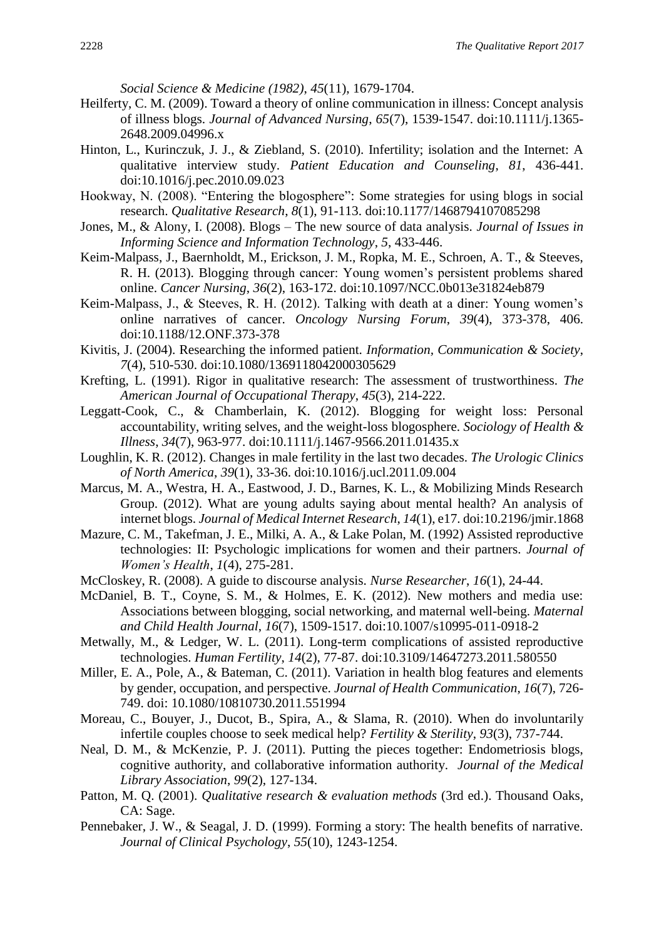*Social Science & Medicine (1982)*, *45*(11), 1679-1704.

- Heilferty, C. M. (2009). Toward a theory of online communication in illness: Concept analysis of illness blogs. *Journal of Advanced Nursing*, *65*(7), 1539-1547. doi:10.1111/j.1365- 2648.2009.04996.x
- Hinton, L., Kurinczuk, J. J., & Ziebland, S. (2010). Infertility; isolation and the Internet: A qualitative interview study. *Patient Education and Counseling*, *81*, 436-441. doi:10.1016/j.pec.2010.09.023
- Hookway, N. (2008). "Entering the blogosphere": Some strategies for using blogs in social research. *Qualitative Research*, *8*(1), 91-113. doi:10.1177/1468794107085298
- Jones, M., & Alony, I. (2008). Blogs The new source of data analysis. *Journal of Issues in Informing Science and Information Technology*, *5*, 433-446.
- Keim-Malpass, J., Baernholdt, M., Erickson, J. M., Ropka, M. E., Schroen, A. T., & Steeves, R. H. (2013). Blogging through cancer: Young women's persistent problems shared online. *Cancer Nursing*, *36*(2), 163-172. doi:10.1097/NCC.0b013e31824eb879
- Keim-Malpass, J., & Steeves, R. H. (2012). Talking with death at a diner: Young women's online narratives of cancer. *Oncology Nursing Forum*, *39*(4), 373-378, 406. doi:10.1188/12.ONF.373-378
- Kivitis, J. (2004). Researching the informed patient. *Information, Communication & Society*, *7*(4), 510-530. doi:10.1080/1369118042000305629
- Krefting, L. (1991). Rigor in qualitative research: The assessment of trustworthiness. *The American Journal of Occupational Therapy*, *45*(3), 214-222.
- Leggatt-Cook, C., & Chamberlain, K. (2012). Blogging for weight loss: Personal accountability, writing selves, and the weight-loss blogosphere. *Sociology of Health & Illness*, *34*(7), 963-977. doi:10.1111/j.1467-9566.2011.01435.x
- Loughlin, K. R. (2012). Changes in male fertility in the last two decades. *The Urologic Clinics of North America*, *39*(1), 33-36. doi:10.1016/j.ucl.2011.09.004
- Marcus, M. A., Westra, H. A., Eastwood, J. D., Barnes, K. L., & Mobilizing Minds Research Group. (2012). What are young adults saying about mental health? An analysis of internet blogs. *Journal of Medical Internet Research*, *14*(1), e17. doi:10.2196/jmir.1868
- Mazure, C. M., Takefman, J. E., Milki, A. A., & Lake Polan, M. (1992) Assisted reproductive technologies: II: Psychologic implications for women and their partners. *Journal of Women's Health*, *1*(4), 275-281.
- McCloskey, R. (2008). A guide to discourse analysis. *Nurse Researcher*, *16*(1), 24-44.
- McDaniel, B. T., Coyne, S. M., & Holmes, E. K. (2012). New mothers and media use: Associations between blogging, social networking, and maternal well-being. *Maternal and Child Health Journal*, *16*(7), 1509-1517. doi:10.1007/s10995-011-0918-2
- Metwally, M., & Ledger, W. L. (2011). Long-term complications of assisted reproductive technologies. *Human Fertility*, *14*(2), 77-87. doi:10.3109/14647273.2011.580550
- Miller, E. A., Pole, A., & Bateman, C. (2011). Variation in health blog features and elements by gender, occupation, and perspective. *Journal of Health Communication*, *16*(7), 726- 749. doi: 10.1080/10810730.2011.551994
- Moreau, C., Bouyer, J., Ducot, B., Spira, A., & Slama, R. (2010). When do involuntarily infertile couples choose to seek medical help? *Fertility & Sterility*, *93*(3), 737-744.
- Neal, D. M., & McKenzie, P. J. (2011). Putting the pieces together: Endometriosis blogs, cognitive authority, and collaborative information authority. *Journal of the Medical Library Association*, *99*(2), 127-134.
- Patton, M. Q. (2001). *Qualitative research & evaluation methods* (3rd ed.). Thousand Oaks, CA: Sage.
- Pennebaker, J. W., & Seagal, J. D. (1999). Forming a story: The health benefits of narrative. *Journal of Clinical Psychology*, *55*(10), 1243-1254.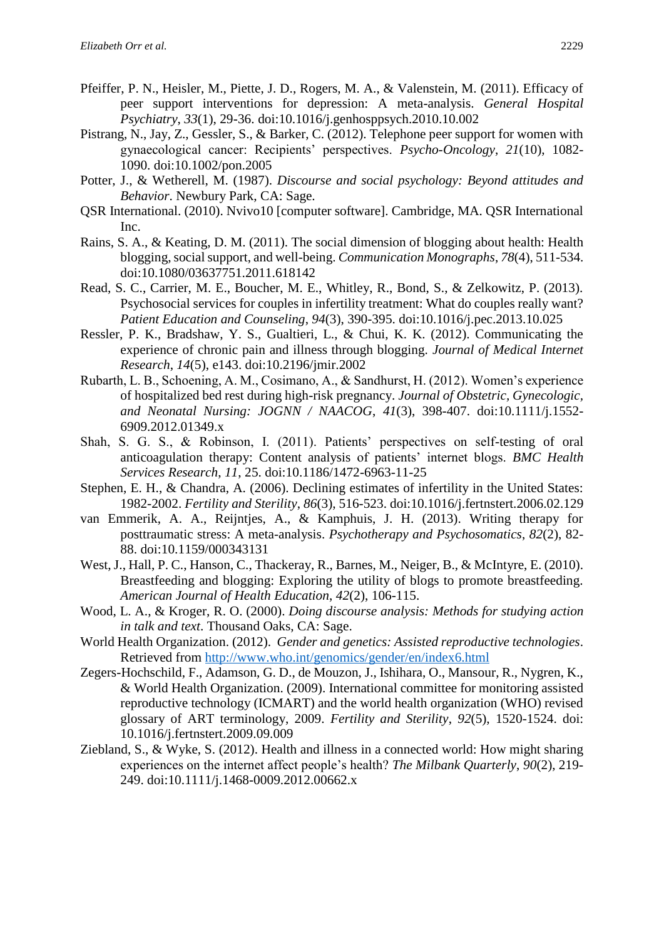- Pfeiffer, P. N., Heisler, M., Piette, J. D., Rogers, M. A., & Valenstein, M. (2011). Efficacy of peer support interventions for depression: A meta-analysis. *General Hospital Psychiatry*, *33*(1), 29-36. doi:10.1016/j.genhosppsych.2010.10.002
- Pistrang, N., Jay, Z., Gessler, S., & Barker, C. (2012). Telephone peer support for women with gynaecological cancer: Recipients' perspectives. *Psycho-Oncology*, *21*(10), 1082- 1090. doi:10.1002/pon.2005
- Potter, J., & Wetherell, M. (1987). *Discourse and social psychology: Beyond attitudes and Behavior*. Newbury Park, CA: Sage.
- QSR International. (2010). Nvivo10 [computer software]. Cambridge, MA. QSR International Inc.
- Rains, S. A., & Keating, D. M. (2011). The social dimension of blogging about health: Health blogging, social support, and well-being. *Communication Monographs*, *78*(4), 511-534. doi:10.1080/03637751.2011.618142
- Read, S. C., Carrier, M. E., Boucher, M. E., Whitley, R., Bond, S., & Zelkowitz, P. (2013). Psychosocial services for couples in infertility treatment: What do couples really want? *Patient Education and Counseling*, *94*(3), 390-395. doi:10.1016/j.pec.2013.10.025
- Ressler, P. K., Bradshaw, Y. S., Gualtieri, L., & Chui, K. K. (2012). Communicating the experience of chronic pain and illness through blogging. *Journal of Medical Internet Research*, *14*(5), e143. doi:10.2196/jmir.2002
- Rubarth, L. B., Schoening, A. M., Cosimano, A., & Sandhurst, H. (2012). Women's experience of hospitalized bed rest during high-risk pregnancy. *Journal of Obstetric, Gynecologic, and Neonatal Nursing: JOGNN / NAACOG*, *41*(3), 398-407. doi:10.1111/j.1552- 6909.2012.01349.x
- Shah, S. G. S., & Robinson, I. (2011). Patients' perspectives on self-testing of oral anticoagulation therapy: Content analysis of patients' internet blogs. *BMC Health Services Research*, *11*, 25. doi:10.1186/1472-6963-11-25
- Stephen, E. H., & Chandra, A. (2006). Declining estimates of infertility in the United States: 1982-2002. *Fertility and Sterility*, *86*(3), 516-523. doi:10.1016/j.fertnstert.2006.02.129
- van Emmerik, A. A., Reijntjes, A., & Kamphuis, J. H. (2013). Writing therapy for posttraumatic stress: A meta-analysis. *Psychotherapy and Psychosomatics*, *82*(2), 82- 88. doi:10.1159/000343131
- West, J., Hall, P. C., Hanson, C., Thackeray, R., Barnes, M., Neiger, B., & McIntyre, E. (2010). Breastfeeding and blogging: Exploring the utility of blogs to promote breastfeeding. *American Journal of Health Education*, *42*(2), 106-115.
- Wood, L. A., & Kroger, R. O. (2000). *Doing discourse analysis: Methods for studying action in talk and text*. Thousand Oaks, CA: Sage.
- World Health Organization. (2012). *Gender and genetics: Assisted reproductive technologies*. Retrieved from<http://www.who.int/genomics/gender/en/index6.html>
- Zegers-Hochschild, F., Adamson, G. D., de Mouzon, J., Ishihara, O., Mansour, R., Nygren, K., & World Health Organization. (2009). International committee for monitoring assisted reproductive technology (ICMART) and the world health organization (WHO) revised glossary of ART terminology, 2009. *Fertility and Sterility*, *92*(5), 1520-1524. doi: 10.1016/j.fertnstert.2009.09.009
- Ziebland, S., & Wyke, S. (2012). Health and illness in a connected world: How might sharing experiences on the internet affect people's health? *The Milbank Quarterly*, *90*(2), 219- 249. doi:10.1111/j.1468-0009.2012.00662.x